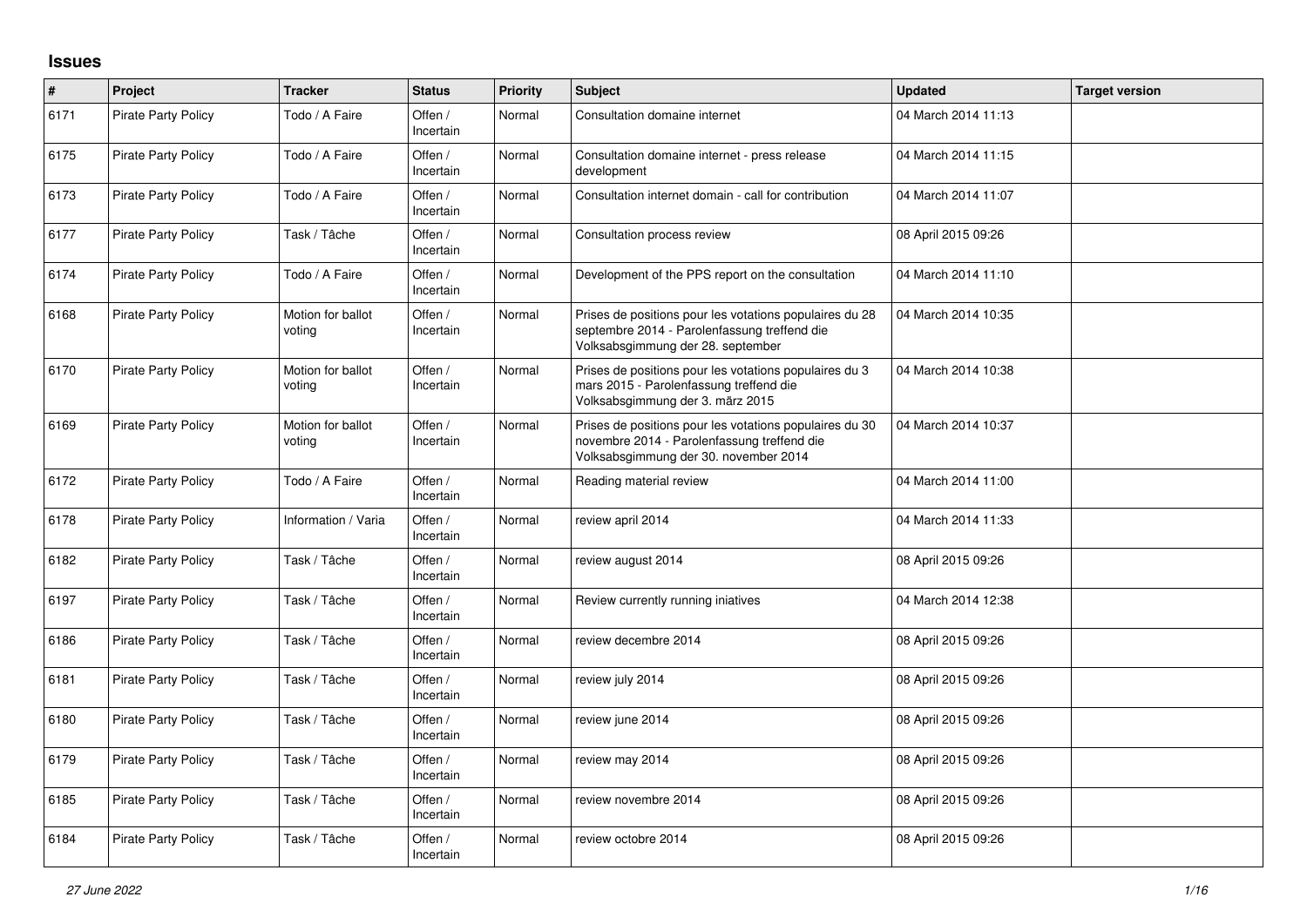## **Issues**

| #    | Project                    | <b>Tracker</b>              | <b>Status</b>          | <b>Priority</b> | <b>Subject</b>                                                                                                                                  | <b>Updated</b>      | <b>Target version</b> |
|------|----------------------------|-----------------------------|------------------------|-----------------|-------------------------------------------------------------------------------------------------------------------------------------------------|---------------------|-----------------------|
| 6171 | Pirate Party Policy        | Todo / A Faire              | Offen /<br>Incertain   | Normal          | Consultation domaine internet                                                                                                                   | 04 March 2014 11:13 |                       |
| 6175 | <b>Pirate Party Policy</b> | Todo / A Faire              | Offen /<br>Incertain   | Normal          | Consultation domaine internet - press release<br>development                                                                                    | 04 March 2014 11:15 |                       |
| 6173 | Pirate Party Policy        | Todo / A Faire              | Offen /<br>Incertain   | Normal          | Consultation internet domain - call for contribution                                                                                            | 04 March 2014 11:07 |                       |
| 6177 | Pirate Party Policy        | Task / Tâche                | Offen /<br>Incertain   | Normal          | Consultation process review                                                                                                                     | 08 April 2015 09:26 |                       |
| 6174 | <b>Pirate Party Policy</b> | Todo / A Faire              | Offen /<br>Incertain   | Normal          | Development of the PPS report on the consultation                                                                                               | 04 March 2014 11:10 |                       |
| 6168 | <b>Pirate Party Policy</b> | Motion for ballot<br>voting | Offen /<br>Incertain   | Normal          | Prises de positions pour les votations populaires du 28<br>septembre 2014 - Parolenfassung treffend die<br>Volksabsgimmung der 28. september    | 04 March 2014 10:35 |                       |
| 6170 | <b>Pirate Party Policy</b> | Motion for ballot<br>voting | Offen /<br>Incertain   | Normal          | Prises de positions pour les votations populaires du 3<br>mars 2015 - Parolenfassung treffend die<br>Volksabsgimmung der 3. märz 2015           | 04 March 2014 10:38 |                       |
| 6169 | <b>Pirate Party Policy</b> | Motion for ballot<br>voting | Offen /<br>Incertain   | Normal          | Prises de positions pour les votations populaires du 30<br>novembre 2014 - Parolenfassung treffend die<br>Volksabsgimmung der 30. november 2014 | 04 March 2014 10:37 |                       |
| 6172 | <b>Pirate Party Policy</b> | Todo / A Faire              | Offen /<br>Incertain   | Normal          | Reading material review                                                                                                                         | 04 March 2014 11:00 |                       |
| 6178 | <b>Pirate Party Policy</b> | Information / Varia         | Offen /<br>Incertain   | Normal          | review april 2014                                                                                                                               | 04 March 2014 11:33 |                       |
| 6182 | Pirate Party Policy        | Task / Tâche                | Offen /<br>Incertain   | Normal          | review august 2014                                                                                                                              | 08 April 2015 09:26 |                       |
| 6197 | Pirate Party Policy        | Task / Tâche                | Offen /<br>Incertain   | Normal          | Review currently running iniatives                                                                                                              | 04 March 2014 12:38 |                       |
| 6186 | <b>Pirate Party Policy</b> | Task / Tâche                | Offen /<br>Incertain   | Normal          | review decembre 2014                                                                                                                            | 08 April 2015 09:26 |                       |
| 6181 | <b>Pirate Party Policy</b> | Task / Tâche                | Offen /<br>Incertain   | Normal          | review july 2014                                                                                                                                | 08 April 2015 09:26 |                       |
| 6180 | <b>Pirate Party Policy</b> | Task / Tâche                | Offen /<br>Incertain   | Normal          | review june 2014                                                                                                                                | 08 April 2015 09:26 |                       |
| 6179 | <b>Pirate Party Policy</b> | Task / Tâche                | Offen $/$<br>Incertain | Normal          | review may 2014                                                                                                                                 | 08 April 2015 09:26 |                       |
| 6185 | <b>Pirate Party Policy</b> | Task / Tâche                | Offen /<br>Incertain   | Normal          | review novembre 2014                                                                                                                            | 08 April 2015 09:26 |                       |
| 6184 | Pirate Party Policy        | Task / Tâche                | Offen /<br>Incertain   | Normal          | review octobre 2014                                                                                                                             | 08 April 2015 09:26 |                       |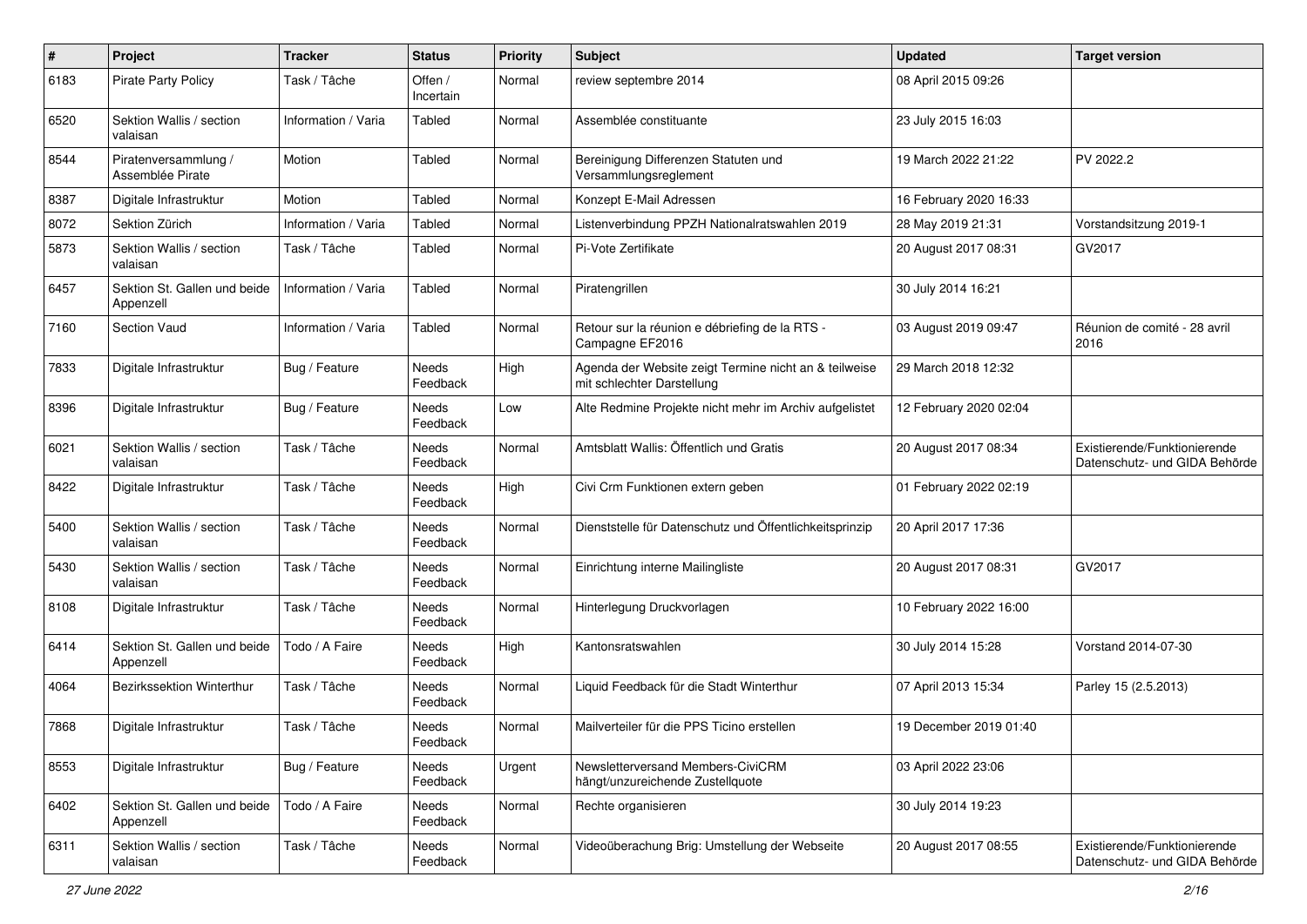| #    | Project                                   | <b>Tracker</b>      | <b>Status</b>            | <b>Priority</b> | <b>Subject</b>                                                                      | <b>Updated</b>         | <b>Target version</b>                                         |
|------|-------------------------------------------|---------------------|--------------------------|-----------------|-------------------------------------------------------------------------------------|------------------------|---------------------------------------------------------------|
| 6183 | <b>Pirate Party Policy</b>                | Task / Tâche        | Offen /<br>Incertain     | Normal          | review septembre 2014                                                               | 08 April 2015 09:26    |                                                               |
| 6520 | Sektion Wallis / section<br>valaisan      | Information / Varia | Tabled                   | Normal          | Assemblée constituante                                                              | 23 July 2015 16:03     |                                                               |
| 8544 | Piratenversammlung /<br>Assemblée Pirate  | Motion              | Tabled                   | Normal          | Bereinigung Differenzen Statuten und<br>Versammlungsreglement                       | 19 March 2022 21:22    | PV 2022.2                                                     |
| 8387 | Digitale Infrastruktur                    | Motion              | Tabled                   | Normal          | Konzept E-Mail Adressen                                                             | 16 February 2020 16:33 |                                                               |
| 8072 | Sektion Zürich                            | Information / Varia | Tabled                   | Normal          | Listenverbindung PPZH Nationalratswahlen 2019                                       | 28 May 2019 21:31      | Vorstandsitzung 2019-1                                        |
| 5873 | Sektion Wallis / section<br>valaisan      | Task / Tâche        | Tabled                   | Normal          | Pi-Vote Zertifikate                                                                 | 20 August 2017 08:31   | GV2017                                                        |
| 6457 | Sektion St. Gallen und beide<br>Appenzell | Information / Varia | Tabled                   | Normal          | Piratengrillen                                                                      | 30 July 2014 16:21     |                                                               |
| 7160 | Section Vaud                              | Information / Varia | Tabled                   | Normal          | Retour sur la réunion e débriefing de la RTS -<br>Campagne EF2016                   | 03 August 2019 09:47   | Réunion de comité - 28 avril<br>2016                          |
| 7833 | Digitale Infrastruktur                    | Bug / Feature       | Needs<br>Feedback        | High            | Agenda der Website zeigt Termine nicht an & teilweise<br>mit schlechter Darstellung | 29 March 2018 12:32    |                                                               |
| 8396 | Digitale Infrastruktur                    | Bug / Feature       | Needs<br>Feedback        | Low             | Alte Redmine Projekte nicht mehr im Archiv aufgelistet                              | 12 February 2020 02:04 |                                                               |
| 6021 | Sektion Wallis / section<br>valaisan      | Task / Tâche        | Needs<br>Feedback        | Normal          | Amtsblatt Wallis: Öffentlich und Gratis                                             | 20 August 2017 08:34   | Existierende/Funktionierende<br>Datenschutz- und GIDA Behörde |
| 8422 | Digitale Infrastruktur                    | Task / Tâche        | <b>Needs</b><br>Feedback | High            | Civi Crm Funktionen extern geben                                                    | 01 February 2022 02:19 |                                                               |
| 5400 | Sektion Wallis / section<br>valaisan      | Task / Tâche        | Needs<br>Feedback        | Normal          | Dienststelle für Datenschutz und Öffentlichkeitsprinzip                             | 20 April 2017 17:36    |                                                               |
| 5430 | Sektion Wallis / section<br>valaisan      | Task / Tâche        | Needs<br>Feedback        | Normal          | Einrichtung interne Mailingliste                                                    | 20 August 2017 08:31   | GV2017                                                        |
| 8108 | Digitale Infrastruktur                    | Task / Tâche        | Needs<br>Feedback        | Normal          | Hinterlegung Druckvorlagen                                                          | 10 February 2022 16:00 |                                                               |
| 6414 | Sektion St. Gallen und beide<br>Appenzell | Todo / A Faire      | Needs<br>Feedback        | High            | Kantonsratswahlen                                                                   | 30 July 2014 15:28     | Vorstand 2014-07-30                                           |
| 4064 | Bezirkssektion Winterthur                 | Task / Tâche        | Needs<br>Feedback        | Normal          | Liquid Feedback für die Stadt Winterthur                                            | 07 April 2013 15:34    | Parley 15 (2.5.2013)                                          |
| 7868 | Digitale Infrastruktur                    | Task / Tâche        | Needs<br>Feedback        | Normal          | Mailverteiler für die PPS Ticino erstellen                                          | 19 December 2019 01:40 |                                                               |
| 8553 | Digitale Infrastruktur                    | Bug / Feature       | Needs<br>Feedback        | Urgent          | Newsletterversand Members-CiviCRM<br>hängt/unzureichende Zustellquote               | 03 April 2022 23:06    |                                                               |
| 6402 | Sektion St. Gallen und beide<br>Appenzell | Todo / A Faire      | Needs<br>Feedback        | Normal          | Rechte organisieren                                                                 | 30 July 2014 19:23     |                                                               |
| 6311 | Sektion Wallis / section<br>valaisan      | Task / Tâche        | Needs<br>Feedback        | Normal          | Videoüberachung Brig: Umstellung der Webseite                                       | 20 August 2017 08:55   | Existierende/Funktionierende<br>Datenschutz- und GIDA Behörde |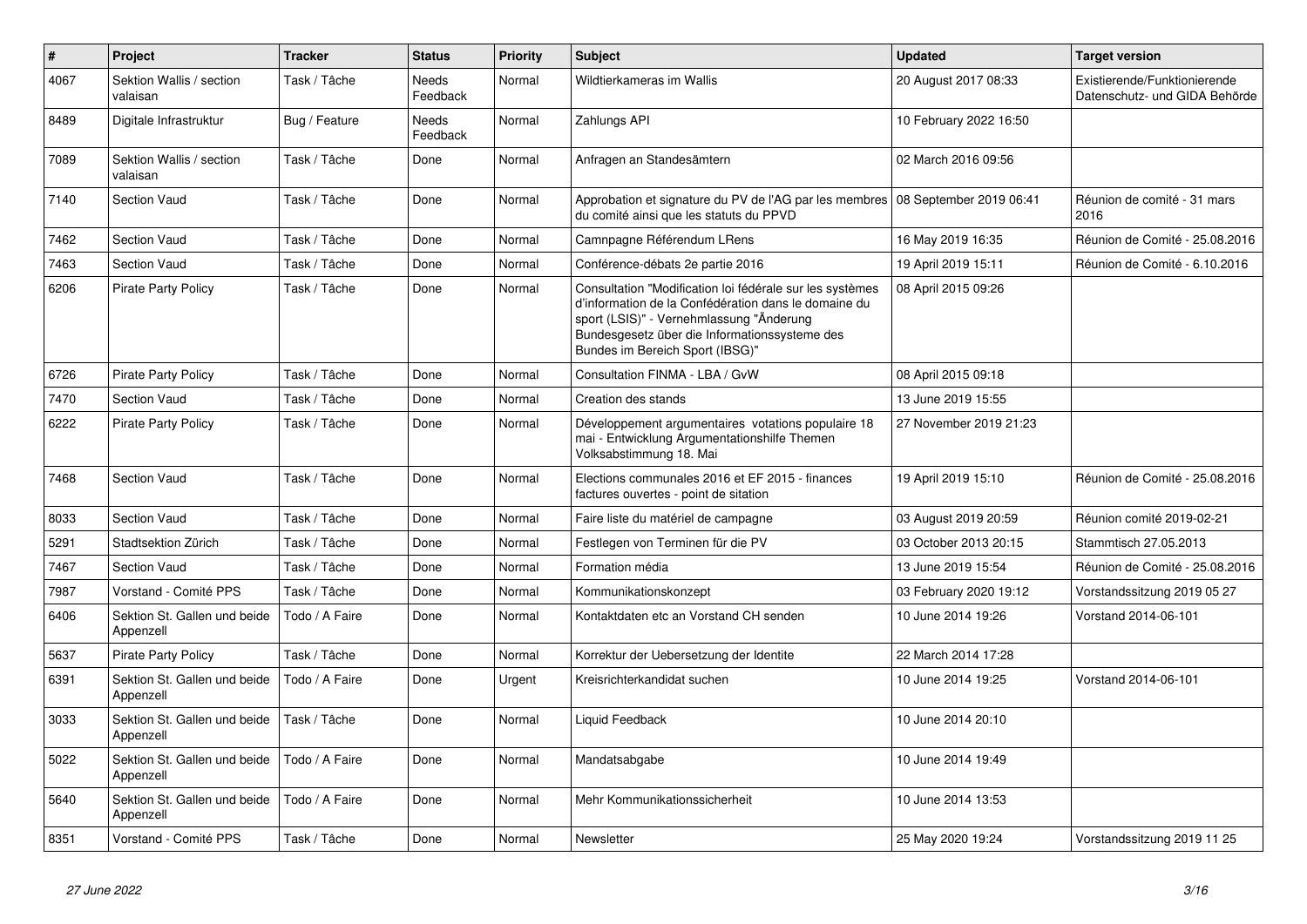| $\vert$ # | Project                                   | <b>Tracker</b> | <b>Status</b>            | <b>Priority</b> | <b>Subject</b>                                                                                                                                                                                                                                   | <b>Updated</b>         | <b>Target version</b>                                         |
|-----------|-------------------------------------------|----------------|--------------------------|-----------------|--------------------------------------------------------------------------------------------------------------------------------------------------------------------------------------------------------------------------------------------------|------------------------|---------------------------------------------------------------|
| 4067      | Sektion Wallis / section<br>valaisan      | Task / Tâche   | Needs<br>Feedback        | Normal          | Wildtierkameras im Wallis                                                                                                                                                                                                                        | 20 August 2017 08:33   | Existierende/Funktionierende<br>Datenschutz- und GIDA Behörde |
| 8489      | Digitale Infrastruktur                    | Bug / Feature  | <b>Needs</b><br>Feedback | Normal          | Zahlungs API                                                                                                                                                                                                                                     | 10 February 2022 16:50 |                                                               |
| 7089      | Sektion Wallis / section<br>valaisan      | Task / Tâche   | Done                     | Normal          | Anfragen an Standesämtern                                                                                                                                                                                                                        | 02 March 2016 09:56    |                                                               |
| 7140      | <b>Section Vaud</b>                       | Task / Tâche   | Done                     | Normal          | Approbation et signature du PV de l'AG par les membres   08 September 2019 06:41<br>du comité ainsi que les statuts du PPVD                                                                                                                      |                        | Réunion de comité - 31 mars<br>2016                           |
| 7462      | <b>Section Vaud</b>                       | Task / Tâche   | Done                     | Normal          | Camnpagne Référendum LRens                                                                                                                                                                                                                       | 16 May 2019 16:35      | Réunion de Comité - 25.08.2016                                |
| 7463      | <b>Section Vaud</b>                       | Task / Tâche   | Done                     | Normal          | Conférence-débats 2e partie 2016                                                                                                                                                                                                                 | 19 April 2019 15:11    | Réunion de Comité - 6.10.2016                                 |
| 6206      | <b>Pirate Party Policy</b>                | Task / Tâche   | Done                     | Normal          | Consultation "Modification loi fédérale sur les systèmes<br>d'information de la Confédération dans le domaine du<br>sport (LSIS)" - Vernehmlassung "Änderung<br>Bundesgesetz über die Informationssysteme des<br>Bundes im Bereich Sport (IBSG)" | 08 April 2015 09:26    |                                                               |
| 6726      | <b>Pirate Party Policy</b>                | Task / Tâche   | Done                     | Normal          | Consultation FINMA - LBA / GvW                                                                                                                                                                                                                   | 08 April 2015 09:18    |                                                               |
| 7470      | <b>Section Vaud</b>                       | Task / Tâche   | Done                     | Normal          | Creation des stands                                                                                                                                                                                                                              | 13 June 2019 15:55     |                                                               |
| 6222      | <b>Pirate Party Policy</b>                | Task / Tâche   | Done                     | Normal          | Développement argumentaires votations populaire 18<br>mai - Entwicklung Argumentationshilfe Themen<br>Volksabstimmung 18. Mai                                                                                                                    | 27 November 2019 21:23 |                                                               |
| 7468      | Section Vaud                              | Task / Tâche   | Done                     | Normal          | Elections communales 2016 et EF 2015 - finances<br>factures ouvertes - point de sitation                                                                                                                                                         | 19 April 2019 15:10    | Réunion de Comité - 25.08.2016                                |
| 8033      | <b>Section Vaud</b>                       | Task / Tâche   | Done                     | Normal          | Faire liste du matériel de campagne                                                                                                                                                                                                              | 03 August 2019 20:59   | Réunion comité 2019-02-21                                     |
| 5291      | Stadtsektion Zürich                       | Task / Tâche   | Done                     | Normal          | Festlegen von Terminen für die PV                                                                                                                                                                                                                | 03 October 2013 20:15  | Stammtisch 27.05.2013                                         |
| 7467      | Section Vaud                              | Task / Tâche   | Done                     | Normal          | Formation média                                                                                                                                                                                                                                  | 13 June 2019 15:54     | Réunion de Comité - 25.08.2016                                |
| 7987      | Vorstand - Comité PPS                     | Task / Tâche   | Done                     | Normal          | Kommunikationskonzept                                                                                                                                                                                                                            | 03 February 2020 19:12 | Vorstandssitzung 2019 05 27                                   |
| 6406      | Sektion St. Gallen und beide<br>Appenzell | Todo / A Faire | Done                     | Normal          | Kontaktdaten etc an Vorstand CH senden                                                                                                                                                                                                           | 10 June 2014 19:26     | Vorstand 2014-06-101                                          |
| 5637      | <b>Pirate Party Policy</b>                | Task / Tâche   | Done                     | Normal          | Korrektur der Uebersetzung der Identite                                                                                                                                                                                                          | 22 March 2014 17:28    |                                                               |
| 6391      | Sektion St. Gallen und beide<br>Appenzell | Todo / A Faire | Done                     | Urgent          | Kreisrichterkandidat suchen                                                                                                                                                                                                                      | 10 June 2014 19:25     | Vorstand 2014-06-101                                          |
| 3033      | Sektion St. Gallen und beide<br>Appenzell | Task / Tâche   | Done                     | Normal          | Liquid Feedback                                                                                                                                                                                                                                  | 10 June 2014 20:10     |                                                               |
| 5022      | Sektion St. Gallen und beide<br>Appenzell | Todo / A Faire | Done                     | Normal          | Mandatsabgabe                                                                                                                                                                                                                                    | 10 June 2014 19:49     |                                                               |
| 5640      | Sektion St. Gallen und beide<br>Appenzell | Todo / A Faire | Done                     | Normal          | Mehr Kommunikationssicherheit                                                                                                                                                                                                                    | 10 June 2014 13:53     |                                                               |
| 8351      | Vorstand - Comité PPS                     | Task / Tâche   | Done                     | Normal          | Newsletter                                                                                                                                                                                                                                       | 25 May 2020 19:24      | Vorstandssitzung 2019 11 25                                   |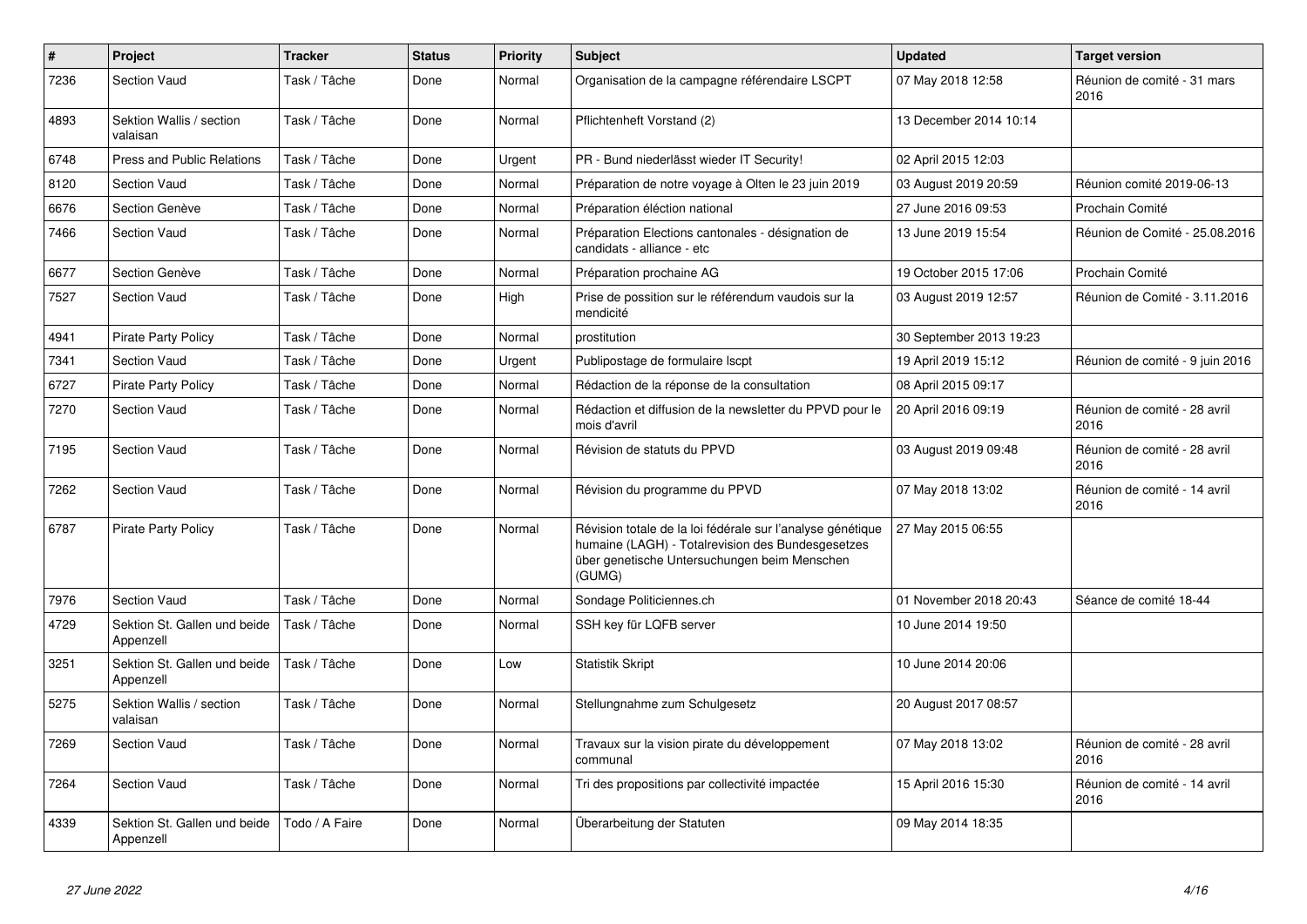| $\pmb{\#}$ | Project                                   | <b>Tracker</b> | <b>Status</b> | <b>Priority</b> | <b>Subject</b>                                                                                                                                                            | <b>Updated</b>          | <b>Target version</b>                |
|------------|-------------------------------------------|----------------|---------------|-----------------|---------------------------------------------------------------------------------------------------------------------------------------------------------------------------|-------------------------|--------------------------------------|
| 7236       | <b>Section Vaud</b>                       | Task / Tâche   | Done          | Normal          | Organisation de la campagne référendaire LSCPT                                                                                                                            | 07 May 2018 12:58       | Réunion de comité - 31 mars<br>2016  |
| 4893       | Sektion Wallis / section<br>valaisan      | Task / Tâche   | Done          | Normal          | Pflichtenheft Vorstand (2)                                                                                                                                                | 13 December 2014 10:14  |                                      |
| 6748       | <b>Press and Public Relations</b>         | Task / Tâche   | Done          | Urgent          | PR - Bund niederlässt wieder IT Security!                                                                                                                                 | 02 April 2015 12:03     |                                      |
| 8120       | Section Vaud                              | Task / Tâche   | Done          | Normal          | Préparation de notre voyage à Olten le 23 juin 2019                                                                                                                       | 03 August 2019 20:59    | Réunion comité 2019-06-13            |
| 6676       | Section Genève                            | Task / Tâche   | Done          | Normal          | Préparation éléction national                                                                                                                                             | 27 June 2016 09:53      | Prochain Comité                      |
| 7466       | <b>Section Vaud</b>                       | Task / Tâche   | Done          | Normal          | Préparation Elections cantonales - désignation de<br>candidats - alliance - etc                                                                                           | 13 June 2019 15:54      | Réunion de Comité - 25.08.2016       |
| 6677       | Section Genève                            | Task / Tâche   | Done          | Normal          | Préparation prochaine AG                                                                                                                                                  | 19 October 2015 17:06   | Prochain Comité                      |
| 7527       | <b>Section Vaud</b>                       | Task / Tâche   | Done          | High            | Prise de possition sur le référendum vaudois sur la<br>mendicité                                                                                                          | 03 August 2019 12:57    | Réunion de Comité - 3.11.2016        |
| 4941       | <b>Pirate Party Policy</b>                | Task / Tâche   | Done          | Normal          | prostitution                                                                                                                                                              | 30 September 2013 19:23 |                                      |
| 7341       | <b>Section Vaud</b>                       | Task / Tâche   | Done          | Urgent          | Publipostage de formulaire Iscpt                                                                                                                                          | 19 April 2019 15:12     | Réunion de comité - 9 juin 2016      |
| 6727       | <b>Pirate Party Policy</b>                | Task / Tâche   | Done          | Normal          | Rédaction de la réponse de la consultation                                                                                                                                | 08 April 2015 09:17     |                                      |
| 7270       | <b>Section Vaud</b>                       | Task / Tâche   | Done          | Normal          | Rédaction et diffusion de la newsletter du PPVD pour le<br>mois d'avril                                                                                                   | 20 April 2016 09:19     | Réunion de comité - 28 avril<br>2016 |
| 7195       | <b>Section Vaud</b>                       | Task / Tâche   | Done          | Normal          | Révision de statuts du PPVD                                                                                                                                               | 03 August 2019 09:48    | Réunion de comité - 28 avril<br>2016 |
| 7262       | <b>Section Vaud</b>                       | Task / Tâche   | Done          | Normal          | Révision du programme du PPVD                                                                                                                                             | 07 May 2018 13:02       | Réunion de comité - 14 avril<br>2016 |
| 6787       | <b>Pirate Party Policy</b>                | Task / Tâche   | Done          | Normal          | Révision totale de la loi fédérale sur l'analyse génétique<br>humaine (LAGH) - Totalrevision des Bundesgesetzes<br>über genetische Untersuchungen beim Menschen<br>(GUMG) | 27 May 2015 06:55       |                                      |
| 7976       | <b>Section Vaud</b>                       | Task / Tâche   | Done          | Normal          | Sondage Politiciennes.ch                                                                                                                                                  | 01 November 2018 20:43  | Séance de comité 18-44               |
| 4729       | Sektion St. Gallen und beide<br>Appenzell | Task / Tâche   | Done          | Normal          | SSH key für LQFB server                                                                                                                                                   | 10 June 2014 19:50      |                                      |
| 3251       | Sektion St. Gallen und beide<br>Appenzell | Task / Tâche   | Done          | Low             | <b>Statistik Skript</b>                                                                                                                                                   | 10 June 2014 20:06      |                                      |
| 5275       | Sektion Wallis / section<br>valaisan      | Task / Tâche   | Done          | Normal          | Stellungnahme zum Schulgesetz                                                                                                                                             | 20 August 2017 08:57    |                                      |
| 7269       | Section Vaud                              | Task / Tâche   | Done          | Normal          | Travaux sur la vision pirate du développement<br>communal                                                                                                                 | 07 May 2018 13:02       | Réunion de comité - 28 avril<br>2016 |
| 7264       | <b>Section Vaud</b>                       | Task / Tâche   | Done          | Normal          | Tri des propositions par collectivité impactée                                                                                                                            | 15 April 2016 15:30     | Réunion de comité - 14 avril<br>2016 |
| 4339       | Sektion St. Gallen und beide<br>Appenzell | Todo / A Faire | Done          | Normal          | Überarbeitung der Statuten                                                                                                                                                | 09 May 2014 18:35       |                                      |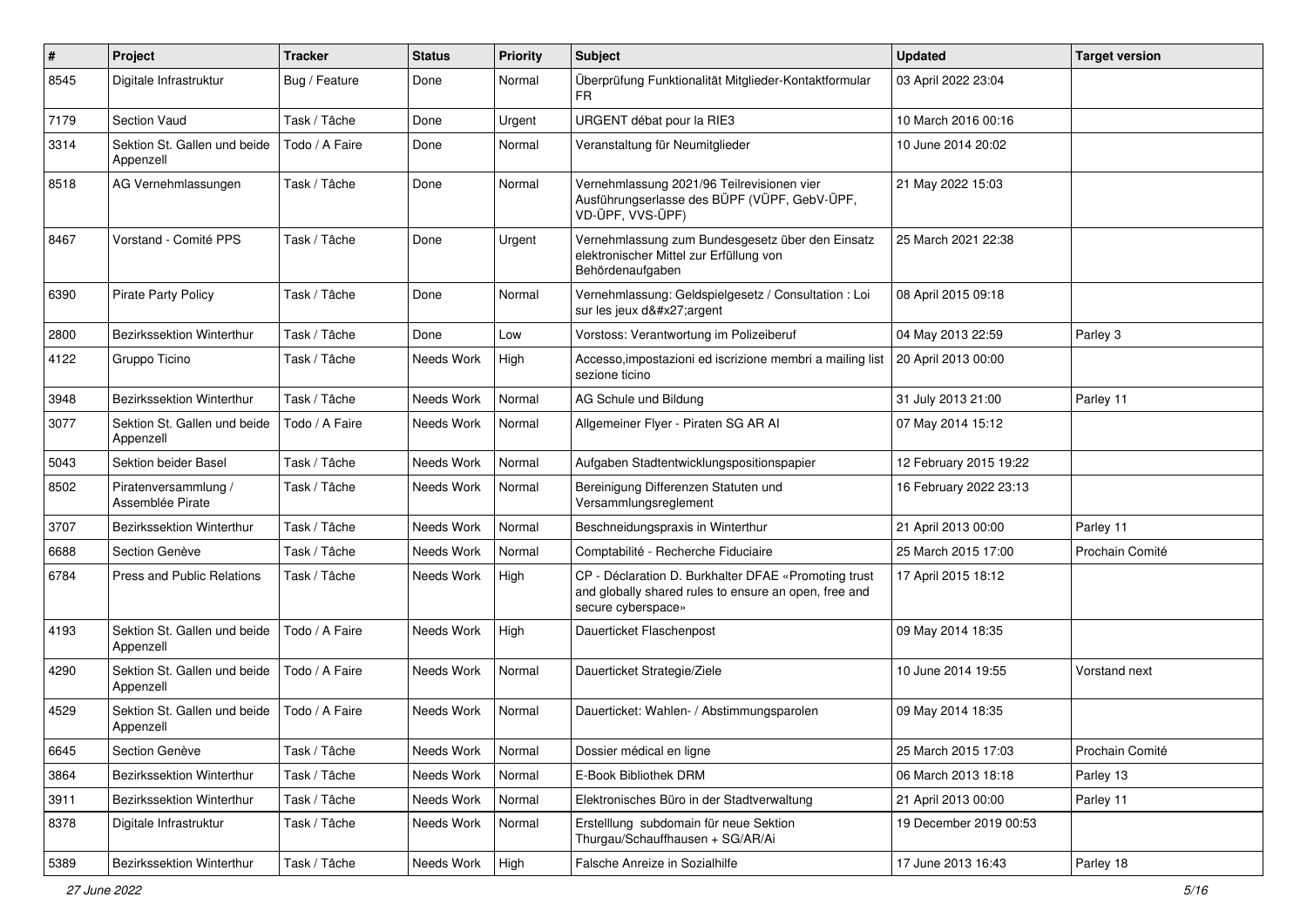| #    | Project                                   | <b>Tracker</b> | <b>Status</b> | <b>Priority</b> | <b>Subject</b>                                                                                                                      | <b>Updated</b>         | <b>Target version</b> |
|------|-------------------------------------------|----------------|---------------|-----------------|-------------------------------------------------------------------------------------------------------------------------------------|------------------------|-----------------------|
| 8545 | Digitale Infrastruktur                    | Bug / Feature  | Done          | Normal          | Überprüfung Funktionalität Mitglieder-Kontaktformular<br>FR.                                                                        | 03 April 2022 23:04    |                       |
| 7179 | Section Vaud                              | Task / Tâche   | Done          | Urgent          | URGENT débat pour la RIE3                                                                                                           | 10 March 2016 00:16    |                       |
| 3314 | Sektion St. Gallen und beide<br>Appenzell | Todo / A Faire | Done          | Normal          | Veranstaltung für Neumitglieder                                                                                                     | 10 June 2014 20:02     |                       |
| 8518 | AG Vernehmlassungen                       | Task / Tâche   | Done          | Normal          | Vernehmlassung 2021/96 Teilrevisionen vier<br>Ausführungserlasse des BÜPF (VÜPF, GebV-ÜPF,<br>VD-ÜPF, VVS-ÜPF)                      | 21 May 2022 15:03      |                       |
| 8467 | Vorstand - Comité PPS                     | Task / Tâche   | Done          | Urgent          | Vernehmlassung zum Bundesgesetz über den Einsatz<br>elektronischer Mittel zur Erfüllung von<br>Behördenaufgaben                     | 25 March 2021 22:38    |                       |
| 6390 | <b>Pirate Party Policy</b>                | Task / Tâche   | Done          | Normal          | Vernehmlassung: Geldspielgesetz / Consultation : Loi<br>sur les jeux d'argent                                                       | 08 April 2015 09:18    |                       |
| 2800 | <b>Bezirkssektion Winterthur</b>          | Task / Tâche   | Done          | Low             | Vorstoss: Verantwortung im Polizeiberuf                                                                                             | 04 May 2013 22:59      | Parley 3              |
| 4122 | Gruppo Ticino                             | Task / Tâche   | Needs Work    | High            | Accesso, impostazioni ed iscrizione membri a mailing list<br>sezione ticino                                                         | 20 April 2013 00:00    |                       |
| 3948 | <b>Bezirkssektion Winterthur</b>          | Task / Tâche   | Needs Work    | Normal          | AG Schule und Bildung                                                                                                               | 31 July 2013 21:00     | Parley 11             |
| 3077 | Sektion St. Gallen und beide<br>Appenzell | Todo / A Faire | Needs Work    | Normal          | Allgemeiner Flyer - Piraten SG AR Al                                                                                                | 07 May 2014 15:12      |                       |
| 5043 | Sektion beider Basel                      | Task / Tâche   | Needs Work    | Normal          | Aufgaben Stadtentwicklungspositionspapier                                                                                           | 12 February 2015 19:22 |                       |
| 8502 | Piratenversammlung /<br>Assemblée Pirate  | Task / Tâche   | Needs Work    | Normal          | Bereinigung Differenzen Statuten und<br>Versammlungsreglement                                                                       | 16 February 2022 23:13 |                       |
| 3707 | Bezirkssektion Winterthur                 | Task / Tâche   | Needs Work    | Normal          | Beschneidungspraxis in Winterthur                                                                                                   | 21 April 2013 00:00    | Parley 11             |
| 6688 | Section Genève                            | Task / Tâche   | Needs Work    | Normal          | Comptabilité - Recherche Fiduciaire                                                                                                 | 25 March 2015 17:00    | Prochain Comité       |
| 6784 | <b>Press and Public Relations</b>         | Task / Tâche   | Needs Work    | High            | CP - Déclaration D. Burkhalter DFAE «Promoting trust<br>and globally shared rules to ensure an open, free and<br>secure cyberspace» | 17 April 2015 18:12    |                       |
| 4193 | Sektion St. Gallen und beide<br>Appenzell | Todo / A Faire | Needs Work    | High            | Dauerticket Flaschenpost                                                                                                            | 09 May 2014 18:35      |                       |
| 4290 | Sektion St. Gallen und beide<br>Appenzell | Todo / A Faire | Needs Work    | Normal          | Dauerticket Strategie/Ziele                                                                                                         | 10 June 2014 19:55     | Vorstand next         |
| 4529 | Sektion St. Gallen und beide<br>Appenzell | Todo / A Faire | Needs Work    | Normal          | Dauerticket: Wahlen- / Abstimmungsparolen                                                                                           | 09 May 2014 18:35      |                       |
| 6645 | Section Genève                            | Task / Tâche   | Needs Work    | Normal          | Dossier médical en ligne                                                                                                            | 25 March 2015 17:03    | Prochain Comité       |
| 3864 | Bezirkssektion Winterthur                 | Task / Tâche   | Needs Work    | Normal          | E-Book Bibliothek DRM                                                                                                               | 06 March 2013 18:18    | Parley 13             |
| 3911 | Bezirkssektion Winterthur                 | Task / Tâche   | Needs Work    | Normal          | Elektronisches Büro in der Stadtverwaltung                                                                                          | 21 April 2013 00:00    | Parley 11             |
| 8378 | Digitale Infrastruktur                    | Task / Tâche   | Needs Work    | Normal          | Erstelllung subdomain für neue Sektion<br>Thurgau/Schauffhausen + SG/AR/Ai                                                          | 19 December 2019 00:53 |                       |
| 5389 | Bezirkssektion Winterthur                 | Task / Tâche   | Needs Work    | High            | Falsche Anreize in Sozialhilfe                                                                                                      | 17 June 2013 16:43     | Parley 18             |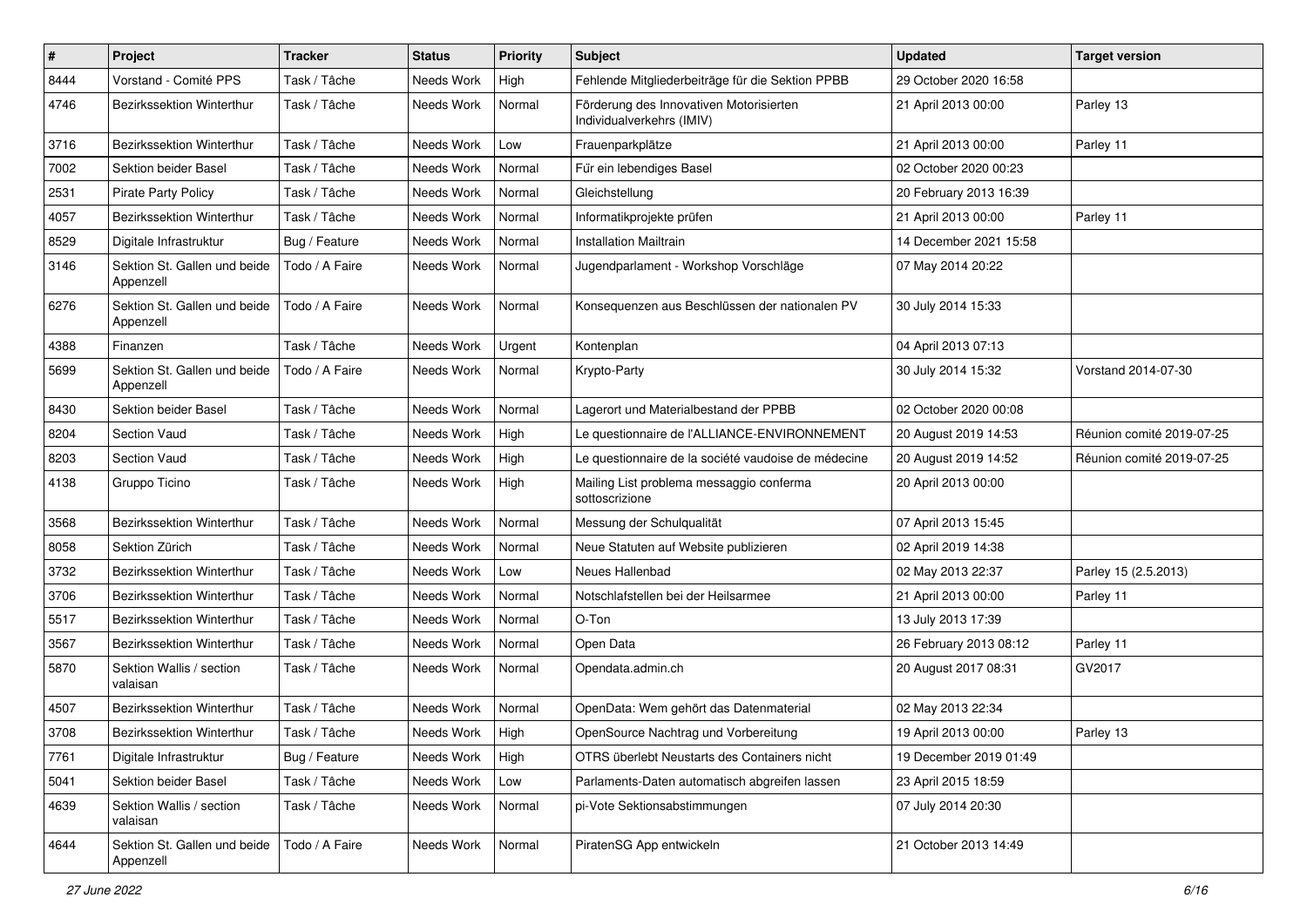| $\#$ | Project                                   | <b>Tracker</b> | <b>Status</b> | <b>Priority</b> | <b>Subject</b>                                                       | <b>Updated</b>         | <b>Target version</b>     |
|------|-------------------------------------------|----------------|---------------|-----------------|----------------------------------------------------------------------|------------------------|---------------------------|
| 8444 | Vorstand - Comité PPS                     | Task / Tâche   | Needs Work    | High            | Fehlende Mitgliederbeiträge für die Sektion PPBB                     | 29 October 2020 16:58  |                           |
| 4746 | Bezirkssektion Winterthur                 | Task / Tâche   | Needs Work    | Normal          | Förderung des Innovativen Motorisierten<br>Individualverkehrs (IMIV) | 21 April 2013 00:00    | Parley 13                 |
| 3716 | <b>Bezirkssektion Winterthur</b>          | Task / Tâche   | Needs Work    | Low             | Frauenparkplätze                                                     | 21 April 2013 00:00    | Parley 11                 |
| 7002 | Sektion beider Basel                      | Task / Tâche   | Needs Work    | Normal          | Für ein lebendiges Basel                                             | 02 October 2020 00:23  |                           |
| 2531 | Pirate Party Policy                       | Task / Tâche   | Needs Work    | Normal          | Gleichstellung                                                       | 20 February 2013 16:39 |                           |
| 4057 | Bezirkssektion Winterthur                 | Task / Tâche   | Needs Work    | Normal          | Informatikprojekte prüfen                                            | 21 April 2013 00:00    | Parley 11                 |
| 8529 | Digitale Infrastruktur                    | Bug / Feature  | Needs Work    | Normal          | <b>Installation Mailtrain</b>                                        | 14 December 2021 15:58 |                           |
| 3146 | Sektion St. Gallen und beide<br>Appenzell | Todo / A Faire | Needs Work    | Normal          | Jugendparlament - Workshop Vorschläge                                | 07 May 2014 20:22      |                           |
| 6276 | Sektion St. Gallen und beide<br>Appenzell | Todo / A Faire | Needs Work    | Normal          | Konsequenzen aus Beschlüssen der nationalen PV                       | 30 July 2014 15:33     |                           |
| 4388 | Finanzen                                  | Task / Tâche   | Needs Work    | Urgent          | Kontenplan                                                           | 04 April 2013 07:13    |                           |
| 5699 | Sektion St. Gallen und beide<br>Appenzell | Todo / A Faire | Needs Work    | Normal          | Krypto-Party                                                         | 30 July 2014 15:32     | Vorstand 2014-07-30       |
| 8430 | Sektion beider Basel                      | Task / Tâche   | Needs Work    | Normal          | Lagerort und Materialbestand der PPBB                                | 02 October 2020 00:08  |                           |
| 8204 | Section Vaud                              | Task / Tâche   | Needs Work    | High            | Le questionnaire de l'ALLIANCE-ENVIRONNEMENT                         | 20 August 2019 14:53   | Réunion comité 2019-07-25 |
| 8203 | <b>Section Vaud</b>                       | Task / Tâche   | Needs Work    | High            | Le questionnaire de la société vaudoise de médecine                  | 20 August 2019 14:52   | Réunion comité 2019-07-25 |
| 4138 | Gruppo Ticino                             | Task / Tâche   | Needs Work    | High            | Mailing List problema messaggio conferma<br>sottoscrizione           | 20 April 2013 00:00    |                           |
| 3568 | Bezirkssektion Winterthur                 | Task / Tâche   | Needs Work    | Normal          | Messung der Schulqualität                                            | 07 April 2013 15:45    |                           |
| 8058 | Sektion Zürich                            | Task / Tâche   | Needs Work    | Normal          | Neue Statuten auf Website publizieren                                | 02 April 2019 14:38    |                           |
| 3732 | Bezirkssektion Winterthur                 | Task / Tâche   | Needs Work    | Low             | Neues Hallenbad                                                      | 02 May 2013 22:37      | Parley 15 (2.5.2013)      |
| 3706 | Bezirkssektion Winterthur                 | Task / Tâche   | Needs Work    | Normal          | Notschlafstellen bei der Heilsarmee                                  | 21 April 2013 00:00    | Parley 11                 |
| 5517 | Bezirkssektion Winterthur                 | Task / Tâche   | Needs Work    | Normal          | O-Ton                                                                | 13 July 2013 17:39     |                           |
| 3567 | Bezirkssektion Winterthur                 | Task / Tâche   | Needs Work    | Normal          | Open Data                                                            | 26 February 2013 08:12 | Parley 11                 |
| 5870 | Sektion Wallis / section<br>valaisan      | Task / Tâche   | Needs Work    | Normal          | Opendata.admin.ch                                                    | 20 August 2017 08:31   | GV2017                    |
| 4507 | Bezirkssektion Winterthur                 | Task / Tâche   | Needs Work    | Normal          | OpenData: Wem gehört das Datenmaterial                               | 02 May 2013 22:34      |                           |
| 3708 | Bezirkssektion Winterthur                 | Task / Tâche   | Needs Work    | High            | OpenSource Nachtrag und Vorbereitung                                 | 19 April 2013 00:00    | Parley 13                 |
| 7761 | Digitale Infrastruktur                    | Bug / Feature  | Needs Work    | High            | OTRS überlebt Neustarts des Containers nicht                         | 19 December 2019 01:49 |                           |
| 5041 | Sektion beider Basel                      | Task / Tâche   | Needs Work    | Low             | Parlaments-Daten automatisch abgreifen lassen                        | 23 April 2015 18:59    |                           |
| 4639 | Sektion Wallis / section<br>valaisan      | Task / Tâche   | Needs Work    | Normal          | pi-Vote Sektionsabstimmungen                                         | 07 July 2014 20:30     |                           |
| 4644 | Sektion St. Gallen und beide<br>Appenzell | Todo / A Faire | Needs Work    | Normal          | PiratenSG App entwickeln                                             | 21 October 2013 14:49  |                           |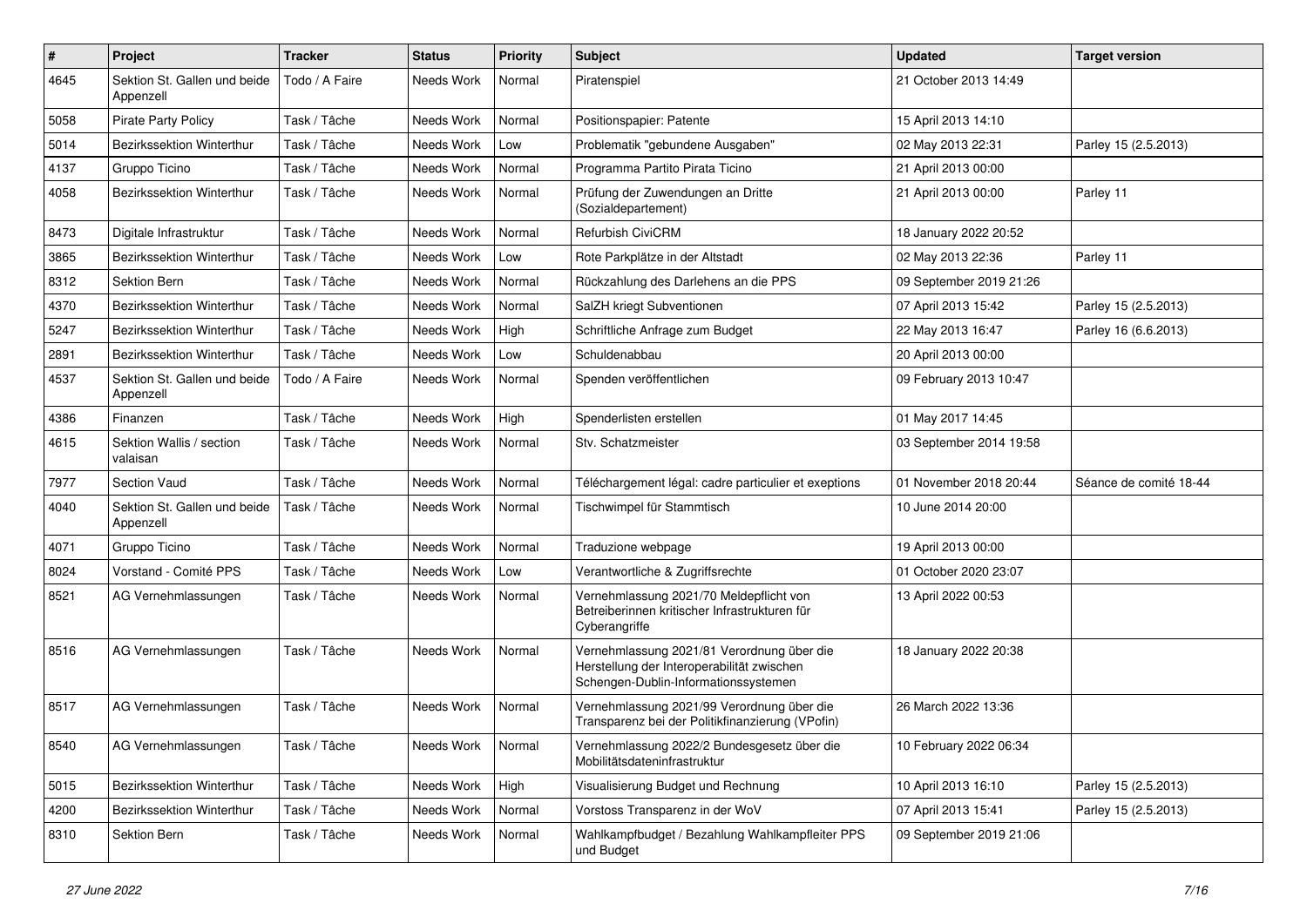| $\pmb{\#}$ | Project                                   | <b>Tracker</b> | <b>Status</b> | <b>Priority</b> | Subject                                                                                                                          | <b>Updated</b>          | <b>Target version</b>  |
|------------|-------------------------------------------|----------------|---------------|-----------------|----------------------------------------------------------------------------------------------------------------------------------|-------------------------|------------------------|
| 4645       | Sektion St. Gallen und beide<br>Appenzell | Todo / A Faire | Needs Work    | Normal          | Piratenspiel                                                                                                                     | 21 October 2013 14:49   |                        |
| 5058       | <b>Pirate Party Policy</b>                | Task / Tâche   | Needs Work    | Normal          | Positionspapier: Patente                                                                                                         | 15 April 2013 14:10     |                        |
| 5014       | Bezirkssektion Winterthur                 | Task / Tâche   | Needs Work    | Low             | Problematik "gebundene Ausgaben"                                                                                                 | 02 May 2013 22:31       | Parley 15 (2.5.2013)   |
| 4137       | Gruppo Ticino                             | Task / Tâche   | Needs Work    | Normal          | Programma Partito Pirata Ticino                                                                                                  | 21 April 2013 00:00     |                        |
| 4058       | Bezirkssektion Winterthur                 | Task / Tâche   | Needs Work    | Normal          | Prüfung der Zuwendungen an Dritte<br>(Sozialdepartement)                                                                         | 21 April 2013 00:00     | Parley 11              |
| 8473       | Digitale Infrastruktur                    | Task / Tâche   | Needs Work    | Normal          | Refurbish CiviCRM                                                                                                                | 18 January 2022 20:52   |                        |
| 3865       | Bezirkssektion Winterthur                 | Task / Tâche   | Needs Work    | Low             | Rote Parkplätze in der Altstadt                                                                                                  | 02 May 2013 22:36       | Parley 11              |
| 8312       | Sektion Bern                              | Task / Tâche   | Needs Work    | Normal          | Rückzahlung des Darlehens an die PPS                                                                                             | 09 September 2019 21:26 |                        |
| 4370       | Bezirkssektion Winterthur                 | Task / Tâche   | Needs Work    | Normal          | SalZH kriegt Subventionen                                                                                                        | 07 April 2013 15:42     | Parley 15 (2.5.2013)   |
| 5247       | Bezirkssektion Winterthur                 | Task / Tâche   | Needs Work    | High            | Schriftliche Anfrage zum Budget                                                                                                  | 22 May 2013 16:47       | Parley 16 (6.6.2013)   |
| 2891       | Bezirkssektion Winterthur                 | Task / Tâche   | Needs Work    | Low             | Schuldenabbau                                                                                                                    | 20 April 2013 00:00     |                        |
| 4537       | Sektion St. Gallen und beide<br>Appenzell | Todo / A Faire | Needs Work    | Normal          | Spenden veröffentlichen                                                                                                          | 09 February 2013 10:47  |                        |
| 4386       | Finanzen                                  | Task / Tâche   | Needs Work    | High            | Spenderlisten erstellen                                                                                                          | 01 May 2017 14:45       |                        |
| 4615       | Sektion Wallis / section<br>valaisan      | Task / Tâche   | Needs Work    | Normal          | Stv. Schatzmeister                                                                                                               | 03 September 2014 19:58 |                        |
| 7977       | <b>Section Vaud</b>                       | Task / Tâche   | Needs Work    | Normal          | Téléchargement légal: cadre particulier et exeptions                                                                             | 01 November 2018 20:44  | Séance de comité 18-44 |
| 4040       | Sektion St. Gallen und beide<br>Appenzell | Task / Tâche   | Needs Work    | Normal          | Tischwimpel für Stammtisch                                                                                                       | 10 June 2014 20:00      |                        |
| 4071       | Gruppo Ticino                             | Task / Tâche   | Needs Work    | Normal          | Traduzione webpage                                                                                                               | 19 April 2013 00:00     |                        |
| 8024       | Vorstand - Comité PPS                     | Task / Tâche   | Needs Work    | Low             | Verantwortliche & Zugriffsrechte                                                                                                 | 01 October 2020 23:07   |                        |
| 8521       | AG Vernehmlassungen                       | Task / Tâche   | Needs Work    | Normal          | Vernehmlassung 2021/70 Meldepflicht von<br>Betreiberinnen kritischer Infrastrukturen für<br>Cyberangriffe                        | 13 April 2022 00:53     |                        |
| 8516       | AG Vernehmlassungen                       | Task / Tâche   | Needs Work    | Normal          | Vernehmlassung 2021/81 Verordnung über die<br>Herstellung der Interoperabilität zwischen<br>Schengen-Dublin-Informationssystemen | 18 January 2022 20:38   |                        |
| 8517       | AG Vernehmlassungen                       | Task / Tâche   | Needs Work    | Normal          | Vernehmlassung 2021/99 Verordnung über die<br>Transparenz bei der Politikfinanzierung (VPofin)                                   | 26 March 2022 13:36     |                        |
| 8540       | AG Vernehmlassungen                       | Task / Tâche   | Needs Work    | Normal          | Vernehmlassung 2022/2 Bundesgesetz über die<br>Mobilitätsdateninfrastruktur                                                      | 10 February 2022 06:34  |                        |
| 5015       | Bezirkssektion Winterthur                 | Task / Tâche   | Needs Work    | High            | Visualisierung Budget und Rechnung                                                                                               | 10 April 2013 16:10     | Parley 15 (2.5.2013)   |
| 4200       | Bezirkssektion Winterthur                 | Task / Tâche   | Needs Work    | Normal          | Vorstoss Transparenz in der WoV                                                                                                  | 07 April 2013 15:41     | Parley 15 (2.5.2013)   |
| 8310       | Sektion Bern                              | Task / Tâche   | Needs Work    | Normal          | Wahlkampfbudget / Bezahlung Wahlkampfleiter PPS<br>und Budget                                                                    | 09 September 2019 21:06 |                        |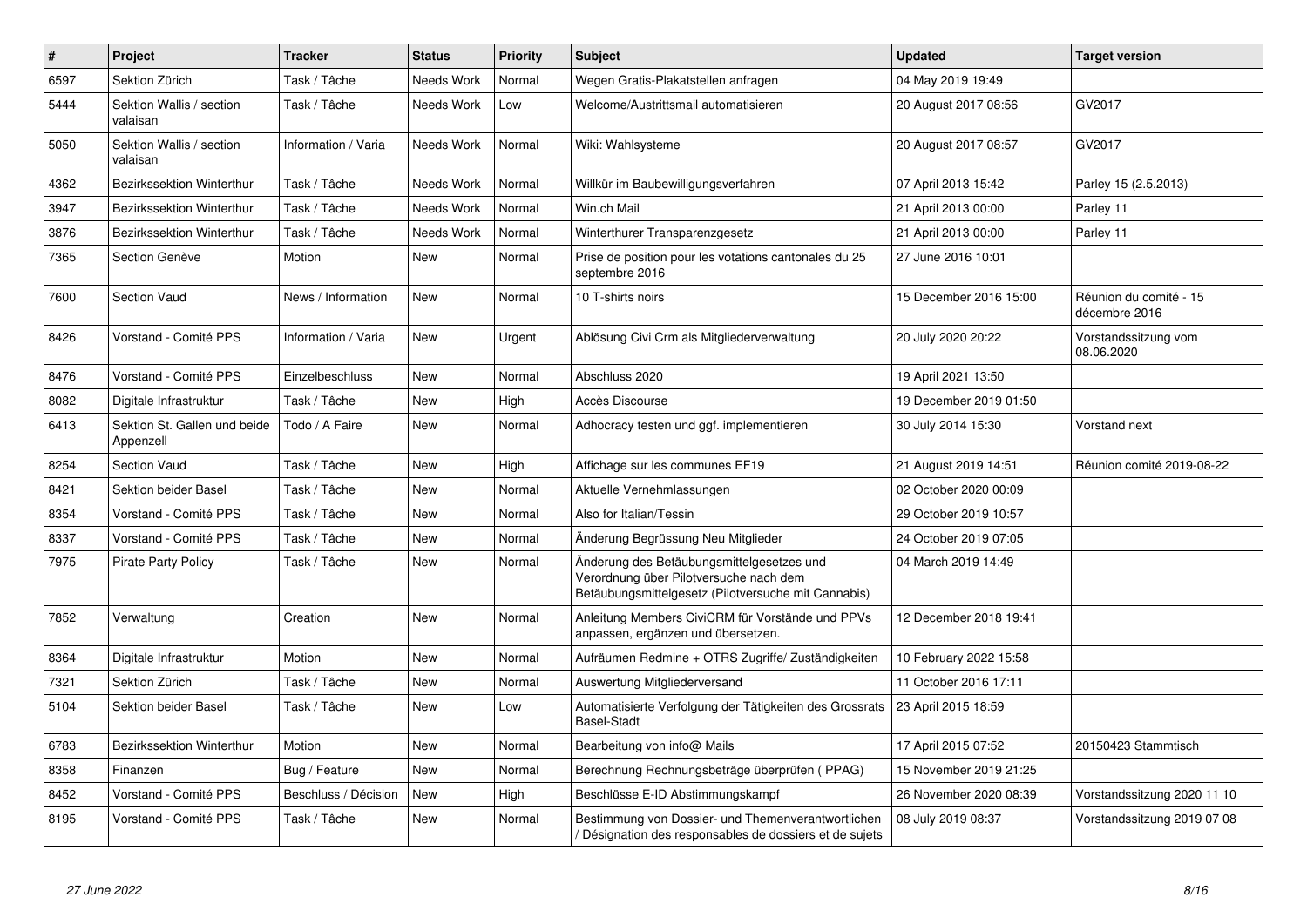| $\sharp$ | Project                                   | <b>Tracker</b>       | <b>Status</b> | <b>Priority</b> | <b>Subject</b>                                                                                                                             | <b>Updated</b>         | <b>Target version</b>                   |
|----------|-------------------------------------------|----------------------|---------------|-----------------|--------------------------------------------------------------------------------------------------------------------------------------------|------------------------|-----------------------------------------|
| 6597     | Sektion Zürich                            | Task / Tâche         | Needs Work    | Normal          | Wegen Gratis-Plakatstellen anfragen                                                                                                        | 04 May 2019 19:49      |                                         |
| 5444     | Sektion Wallis / section<br>valaisan      | Task / Tâche         | Needs Work    | Low             | Welcome/Austrittsmail automatisieren                                                                                                       | 20 August 2017 08:56   | GV2017                                  |
| 5050     | Sektion Wallis / section<br>valaisan      | Information / Varia  | Needs Work    | Normal          | Wiki: Wahlsysteme                                                                                                                          | 20 August 2017 08:57   | GV2017                                  |
| 4362     | Bezirkssektion Winterthur                 | Task / Tâche         | Needs Work    | Normal          | Willkür im Baubewilligungsverfahren                                                                                                        | 07 April 2013 15:42    | Parley 15 (2.5.2013)                    |
| 3947     | Bezirkssektion Winterthur                 | Task / Tâche         | Needs Work    | Normal          | Win.ch Mail                                                                                                                                | 21 April 2013 00:00    | Parley 11                               |
| 3876     | Bezirkssektion Winterthur                 | Task / Tâche         | Needs Work    | Normal          | Winterthurer Transparenzgesetz                                                                                                             | 21 April 2013 00:00    | Parley 11                               |
| 7365     | Section Genève                            | Motion               | <b>New</b>    | Normal          | Prise de position pour les votations cantonales du 25<br>septembre 2016                                                                    | 27 June 2016 10:01     |                                         |
| 7600     | Section Vaud                              | News / Information   | New           | Normal          | 10 T-shirts noirs                                                                                                                          | 15 December 2016 15:00 | Réunion du comité - 15<br>décembre 2016 |
| 8426     | Vorstand - Comité PPS                     | Information / Varia  | New           | Urgent          | Ablösung Civi Crm als Mitgliederverwaltung                                                                                                 | 20 July 2020 20:22     | Vorstandssitzung vom<br>08.06.2020      |
| 8476     | Vorstand - Comité PPS                     | Einzelbeschluss      | <b>New</b>    | Normal          | Abschluss 2020                                                                                                                             | 19 April 2021 13:50    |                                         |
| 8082     | Digitale Infrastruktur                    | Task / Tâche         | <b>New</b>    | High            | Accès Discourse                                                                                                                            | 19 December 2019 01:50 |                                         |
| 6413     | Sektion St. Gallen und beide<br>Appenzell | Todo / A Faire       | New           | Normal          | Adhocracy testen und ggf. implementieren                                                                                                   | 30 July 2014 15:30     | Vorstand next                           |
| 8254     | Section Vaud                              | Task / Tâche         | <b>New</b>    | High            | Affichage sur les communes EF19                                                                                                            | 21 August 2019 14:51   | Réunion comité 2019-08-22               |
| 8421     | Sektion beider Basel                      | Task / Tâche         | <b>New</b>    | Normal          | Aktuelle Vernehmlassungen                                                                                                                  | 02 October 2020 00:09  |                                         |
| 8354     | Vorstand - Comité PPS                     | Task / Tâche         | <b>New</b>    | Normal          | Also for Italian/Tessin                                                                                                                    | 29 October 2019 10:57  |                                         |
| 8337     | Vorstand - Comité PPS                     | Task / Tâche         | <b>New</b>    | Normal          | Änderung Begrüssung Neu Mitglieder                                                                                                         | 24 October 2019 07:05  |                                         |
| 7975     | <b>Pirate Party Policy</b>                | Task / Tâche         | <b>New</b>    | Normal          | Änderung des Betäubungsmittelgesetzes und<br>Verordnung über Pilotversuche nach dem<br>Betäubungsmittelgesetz (Pilotversuche mit Cannabis) | 04 March 2019 14:49    |                                         |
| 7852     | Verwaltung                                | Creation             | New           | Normal          | Anleitung Members CiviCRM für Vorstände und PPVs<br>anpassen, ergänzen und übersetzen.                                                     | 12 December 2018 19:41 |                                         |
| 8364     | Digitale Infrastruktur                    | Motion               | <b>New</b>    | Normal          | Aufräumen Redmine + OTRS Zugriffe/ Zuständigkeiten                                                                                         | 10 February 2022 15:58 |                                         |
| 7321     | Sektion Zürich                            | Task / Tâche         | New           | Normal          | Auswertung Mitgliederversand                                                                                                               | 11 October 2016 17:11  |                                         |
| 5104     | Sektion beider Basel                      | Task / Tâche         | New           | Low             | Automatisierte Verfolgung der Tätigkeiten des Grossrats<br><b>Basel-Stadt</b>                                                              | 23 April 2015 18:59    |                                         |
| 6783     | Bezirkssektion Winterthur                 | Motion               | New           | Normal          | Bearbeitung von info@ Mails                                                                                                                | 17 April 2015 07:52    | 20150423 Stammtisch                     |
| 8358     | Finanzen                                  | Bug / Feature        | <b>New</b>    | Normal          | Berechnung Rechnungsbeträge überprüfen (PPAG)                                                                                              | 15 November 2019 21:25 |                                         |
| 8452     | Vorstand - Comité PPS                     | Beschluss / Décision | New           | High            | Beschlüsse E-ID Abstimmungskampf                                                                                                           | 26 November 2020 08:39 | Vorstandssitzung 2020 11 10             |
| 8195     | Vorstand - Comité PPS                     | Task / Tâche         | <b>New</b>    | Normal          | Bestimmung von Dossier- und Themenverantwortlichen<br>/ Désignation des responsables de dossiers et de sujets                              | 08 July 2019 08:37     | Vorstandssitzung 2019 07 08             |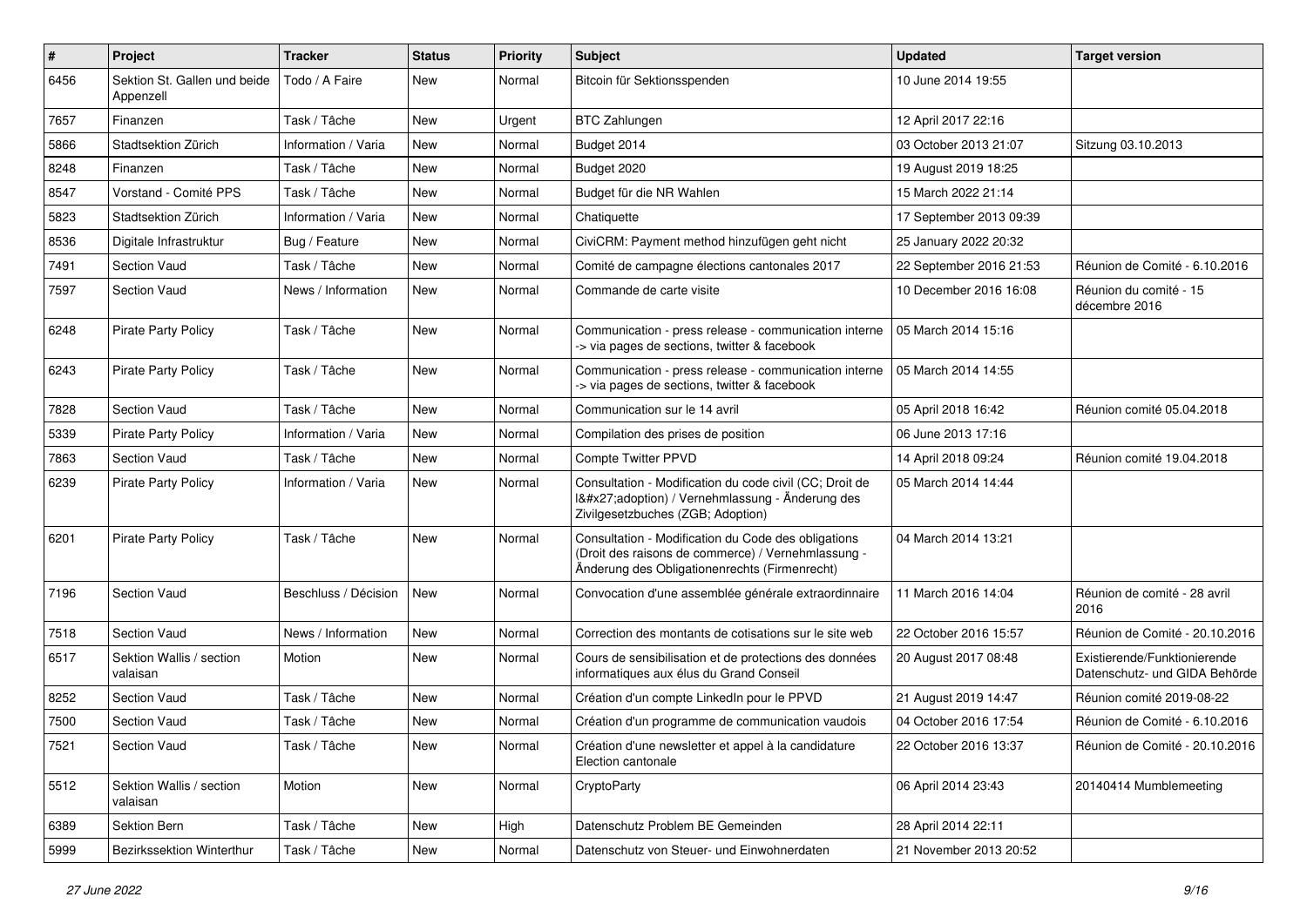| #    | Project                                   | <b>Tracker</b>       | <b>Status</b> | <b>Priority</b> | <b>Subject</b>                                                                                                                                             | <b>Updated</b>          | <b>Target version</b>                                         |
|------|-------------------------------------------|----------------------|---------------|-----------------|------------------------------------------------------------------------------------------------------------------------------------------------------------|-------------------------|---------------------------------------------------------------|
| 6456 | Sektion St. Gallen und beide<br>Appenzell | Todo / A Faire       | <b>New</b>    | Normal          | Bitcoin für Sektionsspenden                                                                                                                                | 10 June 2014 19:55      |                                                               |
| 7657 | Finanzen                                  | Task / Tâche         | <b>New</b>    | Urgent          | <b>BTC Zahlungen</b>                                                                                                                                       | 12 April 2017 22:16     |                                                               |
| 5866 | Stadtsektion Zürich                       | Information / Varia  | New           | Normal          | Budget 2014                                                                                                                                                | 03 October 2013 21:07   | Sitzung 03.10.2013                                            |
| 8248 | Finanzen                                  | Task / Tâche         | <b>New</b>    | Normal          | Budget 2020                                                                                                                                                | 19 August 2019 18:25    |                                                               |
| 8547 | Vorstand - Comité PPS                     | Task / Tâche         | <b>New</b>    | Normal          | Budget für die NR Wahlen                                                                                                                                   | 15 March 2022 21:14     |                                                               |
| 5823 | Stadtsektion Zürich                       | Information / Varia  | New           | Normal          | Chatiquette                                                                                                                                                | 17 September 2013 09:39 |                                                               |
| 8536 | Digitale Infrastruktur                    | Bug / Feature        | New           | Normal          | CiviCRM: Payment method hinzufügen geht nicht                                                                                                              | 25 January 2022 20:32   |                                                               |
| 7491 | Section Vaud                              | Task / Tâche         | New           | Normal          | Comité de campagne élections cantonales 2017                                                                                                               | 22 September 2016 21:53 | Réunion de Comité - 6.10.2016                                 |
| 7597 | <b>Section Vaud</b>                       | News / Information   | New           | Normal          | Commande de carte visite                                                                                                                                   | 10 December 2016 16:08  | Réunion du comité - 15<br>décembre 2016                       |
| 6248 | <b>Pirate Party Policy</b>                | Task / Tâche         | New           | Normal          | Communication - press release - communication interne<br>-> via pages de sections, twitter & facebook                                                      | 05 March 2014 15:16     |                                                               |
| 6243 | <b>Pirate Party Policy</b>                | Task / Tâche         | <b>New</b>    | Normal          | Communication - press release - communication interne<br>-> via pages de sections, twitter & facebook                                                      | 05 March 2014 14:55     |                                                               |
| 7828 | Section Vaud                              | Task / Tâche         | New           | Normal          | Communication sur le 14 avril                                                                                                                              | 05 April 2018 16:42     | Réunion comité 05.04.2018                                     |
| 5339 | <b>Pirate Party Policy</b>                | Information / Varia  | <b>New</b>    | Normal          | Compilation des prises de position                                                                                                                         | 06 June 2013 17:16      |                                                               |
| 7863 | Section Vaud                              | Task / Tâche         | New           | Normal          | <b>Compte Twitter PPVD</b>                                                                                                                                 | 14 April 2018 09:24     | Réunion comité 19.04.2018                                     |
| 6239 | <b>Pirate Party Policy</b>                | Information / Varia  | <b>New</b>    | Normal          | Consultation - Modification du code civil (CC; Droit de<br>I'adoption) / Vernehmlassung - Änderung des<br>Zivilgesetzbuches (ZGB; Adoption)                | 05 March 2014 14:44     |                                                               |
| 6201 | <b>Pirate Party Policy</b>                | Task / Tâche         | New           | Normal          | Consultation - Modification du Code des obligations<br>(Droit des raisons de commerce) / Vernehmlassung -<br>Änderung des Obligationenrechts (Firmenrecht) | 04 March 2014 13:21     |                                                               |
| 7196 | Section Vaud                              | Beschluss / Décision | New           | Normal          | Convocation d'une assemblée générale extraordinnaire                                                                                                       | 11 March 2016 14:04     | Réunion de comité - 28 avril<br>2016                          |
| 7518 | Section Vaud                              | News / Information   | New           | Normal          | Correction des montants de cotisations sur le site web                                                                                                     | 22 October 2016 15:57   | Réunion de Comité - 20.10.2016                                |
| 6517 | Sektion Wallis / section<br>valaisan      | Motion               | New           | Normal          | Cours de sensibilisation et de protections des données<br>informatiques aux élus du Grand Conseil                                                          | 20 August 2017 08:48    | Existierende/Funktionierende<br>Datenschutz- und GIDA Behörde |
| 8252 | Section Vaud                              | Task / Tâche         | <b>New</b>    | Normal          | Création d'un compte LinkedIn pour le PPVD                                                                                                                 | 21 August 2019 14:47    | Réunion comité 2019-08-22                                     |
| 7500 | <b>Section Vaud</b>                       | Task / Tâche         | New           | Normal          | Création d'un programme de communication vaudois                                                                                                           | 04 October 2016 17:54   | Réunion de Comité - 6.10.2016                                 |
| 7521 | <b>Section Vaud</b>                       | Task / Tâche         | New           | Normal          | Création d'une newsletter et appel à la candidature<br>Election cantonale                                                                                  | 22 October 2016 13:37   | Réunion de Comité - 20.10.2016                                |
| 5512 | Sektion Wallis / section<br>valaisan      | Motion               | New           | Normal          | CryptoParty                                                                                                                                                | 06 April 2014 23:43     | 20140414 Mumblemeeting                                        |
| 6389 | Sektion Bern                              | Task / Tâche         | New           | High            | Datenschutz Problem BE Gemeinden                                                                                                                           | 28 April 2014 22:11     |                                                               |
| 5999 | Bezirkssektion Winterthur                 | Task / Tâche         | New           | Normal          | Datenschutz von Steuer- und Einwohnerdaten                                                                                                                 | 21 November 2013 20:52  |                                                               |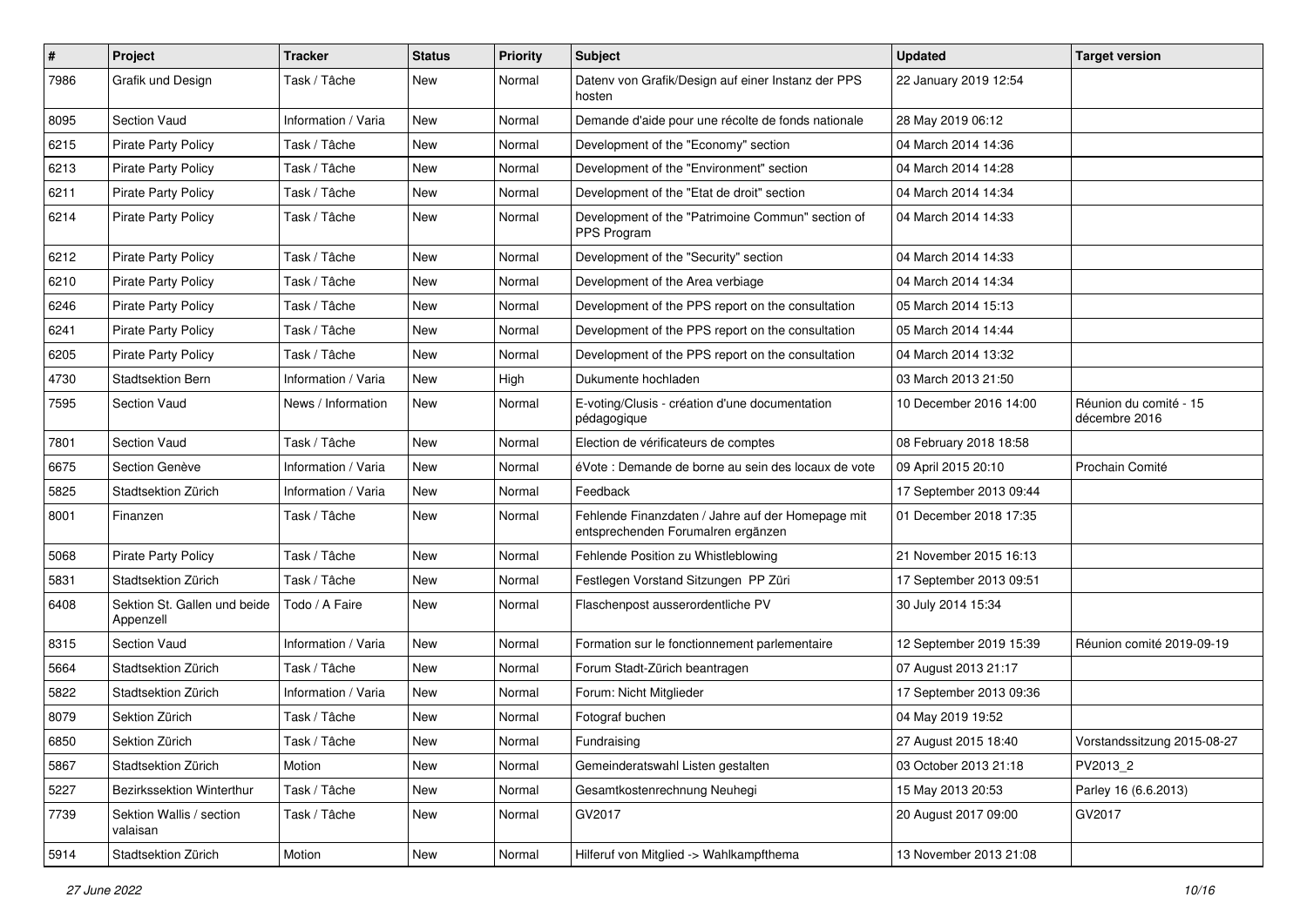| $\pmb{\#}$ | Project                                   | <b>Tracker</b>      | <b>Status</b> | <b>Priority</b> | <b>Subject</b>                                                                          | <b>Updated</b>          | <b>Target version</b>                   |
|------------|-------------------------------------------|---------------------|---------------|-----------------|-----------------------------------------------------------------------------------------|-------------------------|-----------------------------------------|
| 7986       | Grafik und Design                         | Task / Tâche        | New           | Normal          | Datenv von Grafik/Design auf einer Instanz der PPS<br>hosten                            | 22 January 2019 12:54   |                                         |
| 8095       | Section Vaud                              | Information / Varia | New           | Normal          | Demande d'aide pour une récolte de fonds nationale                                      | 28 May 2019 06:12       |                                         |
| 6215       | <b>Pirate Party Policy</b>                | Task / Tâche        | New           | Normal          | Development of the "Economy" section                                                    | 04 March 2014 14:36     |                                         |
| 6213       | <b>Pirate Party Policy</b>                | Task / Tâche        | <b>New</b>    | Normal          | Development of the "Environment" section                                                | 04 March 2014 14:28     |                                         |
| 6211       | <b>Pirate Party Policy</b>                | Task / Tâche        | New           | Normal          | Development of the "Etat de droit" section                                              | 04 March 2014 14:34     |                                         |
| 6214       | Pirate Party Policy                       | Task / Tâche        | New           | Normal          | Development of the "Patrimoine Commun" section of<br>PPS Program                        | 04 March 2014 14:33     |                                         |
| 6212       | <b>Pirate Party Policy</b>                | Task / Tâche        | New           | Normal          | Development of the "Security" section                                                   | 04 March 2014 14:33     |                                         |
| 6210       | Pirate Party Policy                       | Task / Tâche        | New           | Normal          | Development of the Area verbiage                                                        | 04 March 2014 14:34     |                                         |
| 6246       | <b>Pirate Party Policy</b>                | Task / Tâche        | New           | Normal          | Development of the PPS report on the consultation                                       | 05 March 2014 15:13     |                                         |
| 6241       | Pirate Party Policy                       | Task / Tâche        | New           | Normal          | Development of the PPS report on the consultation                                       | 05 March 2014 14:44     |                                         |
| 6205       | <b>Pirate Party Policy</b>                | Task / Tâche        | <b>New</b>    | Normal          | Development of the PPS report on the consultation                                       | 04 March 2014 13:32     |                                         |
| 4730       | Stadtsektion Bern                         | Information / Varia | New           | High            | Dukumente hochladen                                                                     | 03 March 2013 21:50     |                                         |
| 7595       | <b>Section Vaud</b>                       | News / Information  | <b>New</b>    | Normal          | E-voting/Clusis - création d'une documentation<br>pédagogique                           | 10 December 2016 14:00  | Réunion du comité - 15<br>décembre 2016 |
| 7801       | <b>Section Vaud</b>                       | Task / Tâche        | <b>New</b>    | Normal          | Election de vérificateurs de comptes                                                    | 08 February 2018 18:58  |                                         |
| 6675       | Section Genève                            | Information / Varia | New           | Normal          | éVote : Demande de borne au sein des locaux de vote                                     | 09 April 2015 20:10     | Prochain Comité                         |
| 5825       | Stadtsektion Zürich                       | Information / Varia | New           | Normal          | Feedback                                                                                | 17 September 2013 09:44 |                                         |
| 8001       | Finanzen                                  | Task / Tâche        | New           | Normal          | Fehlende Finanzdaten / Jahre auf der Homepage mit<br>entsprechenden Forumalren ergänzen | 01 December 2018 17:35  |                                         |
| 5068       | <b>Pirate Party Policy</b>                | Task / Tâche        | New           | Normal          | Fehlende Position zu Whistleblowing                                                     | 21 November 2015 16:13  |                                         |
| 5831       | Stadtsektion Zürich                       | Task / Tâche        | <b>New</b>    | Normal          | Festlegen Vorstand Sitzungen PP Züri                                                    | 17 September 2013 09:51 |                                         |
| 6408       | Sektion St. Gallen und beide<br>Appenzell | Todo / A Faire      | New           | Normal          | Flaschenpost ausserordentliche PV                                                       | 30 July 2014 15:34      |                                         |
| 8315       | Section Vaud                              | Information / Varia | New           | Normal          | Formation sur le fonctionnement parlementaire                                           | 12 September 2019 15:39 | Réunion comité 2019-09-19               |
| 5664       | Stadtsektion Zürich                       | Task / Tâche        | New           | Normal          | Forum Stadt-Zürich beantragen                                                           | 07 August 2013 21:17    |                                         |
| 5822       | Stadtsektion Zürich                       | Information / Varia | New           | Normal          | Forum: Nicht Mitglieder                                                                 | 17 September 2013 09:36 |                                         |
| 8079       | Sektion Zürich                            | Task / Tâche        | New           | Normal          | Fotograf buchen                                                                         | 04 May 2019 19:52       |                                         |
| 6850       | Sektion Zürich                            | Task / Tâche        | New           | Normal          | Fundraising                                                                             | 27 August 2015 18:40    | Vorstandssitzung 2015-08-27             |
| 5867       | Stadtsektion Zürich                       | Motion              | New           | Normal          | Gemeinderatswahl Listen gestalten                                                       | 03 October 2013 21:18   | PV2013_2                                |
| 5227       | Bezirkssektion Winterthur                 | Task / Tâche        | New           | Normal          | Gesamtkostenrechnung Neuhegi                                                            | 15 May 2013 20:53       | Parley 16 (6.6.2013)                    |
| 7739       | Sektion Wallis / section<br>valaisan      | Task / Tâche        | New           | Normal          | GV2017                                                                                  | 20 August 2017 09:00    | GV2017                                  |
| 5914       | Stadtsektion Zürich                       | Motion              | New           | Normal          | Hilferuf von Mitglied -> Wahlkampfthema                                                 | 13 November 2013 21:08  |                                         |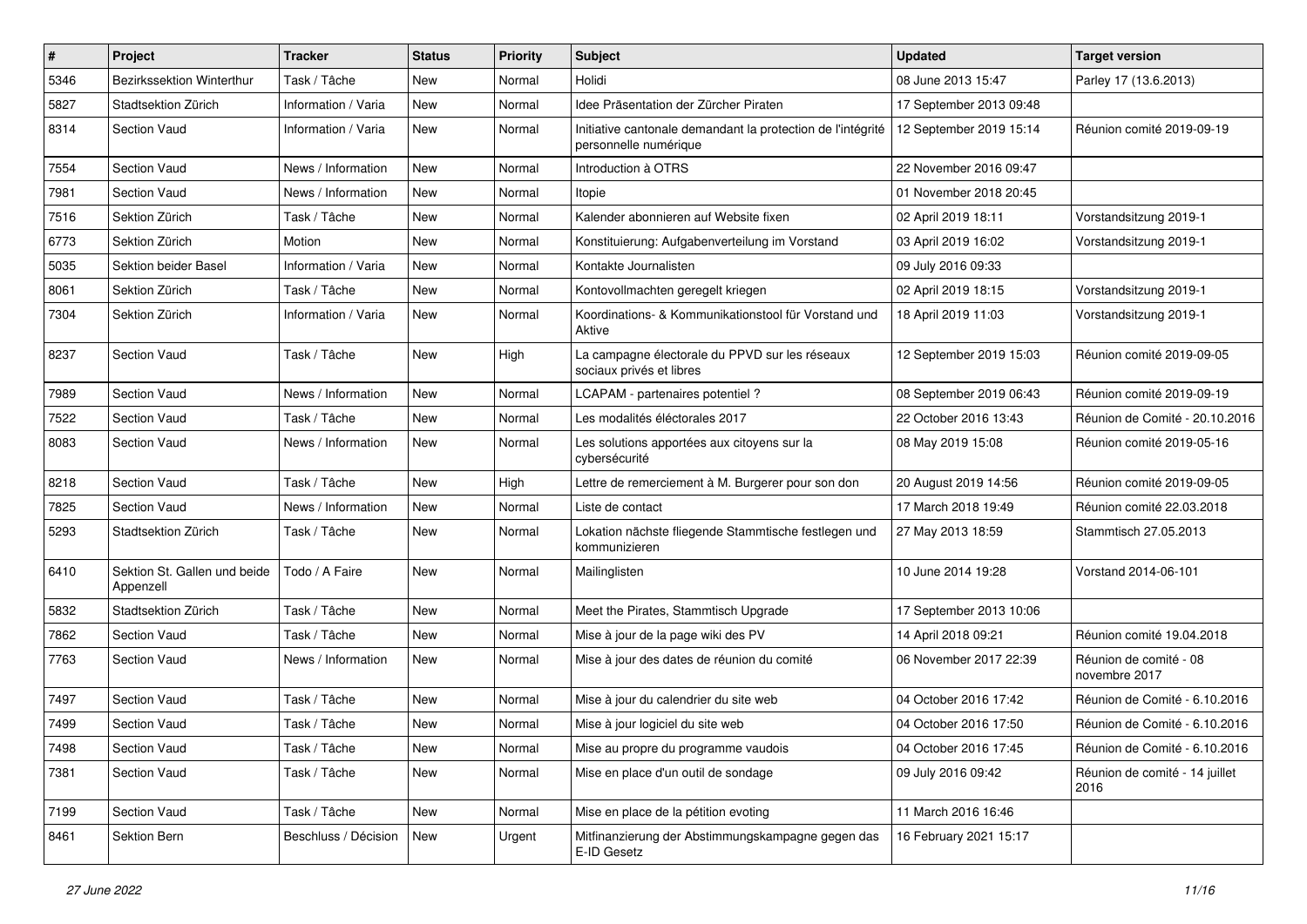| $\#$ | Project                                   | <b>Tracker</b>       | <b>Status</b> | <b>Priority</b> | <b>Subject</b>                                                                       | <b>Updated</b>          | <b>Target version</b>                   |
|------|-------------------------------------------|----------------------|---------------|-----------------|--------------------------------------------------------------------------------------|-------------------------|-----------------------------------------|
| 5346 | Bezirkssektion Winterthur                 | Task / Tâche         | <b>New</b>    | Normal          | Holidi                                                                               | 08 June 2013 15:47      | Parley 17 (13.6.2013)                   |
| 5827 | Stadtsektion Zürich                       | Information / Varia  | <b>New</b>    | Normal          | Idee Präsentation der Zürcher Piraten                                                | 17 September 2013 09:48 |                                         |
| 8314 | Section Vaud                              | Information / Varia  | <b>New</b>    | Normal          | Initiative cantonale demandant la protection de l'intégrité<br>personnelle numérique | 12 September 2019 15:14 | Réunion comité 2019-09-19               |
| 7554 | <b>Section Vaud</b>                       | News / Information   | New           | Normal          | Introduction à OTRS                                                                  | 22 November 2016 09:47  |                                         |
| 7981 | Section Vaud                              | News / Information   | <b>New</b>    | Normal          | Itopie                                                                               | 01 November 2018 20:45  |                                         |
| 7516 | Sektion Zürich                            | Task / Tâche         | <b>New</b>    | Normal          | Kalender abonnieren auf Website fixen                                                | 02 April 2019 18:11     | Vorstandsitzung 2019-1                  |
| 6773 | Sektion Zürich                            | Motion               | <b>New</b>    | Normal          | Konstituierung: Aufgabenverteilung im Vorstand                                       | 03 April 2019 16:02     | Vorstandsitzung 2019-1                  |
| 5035 | <b>Sektion beider Basel</b>               | Information / Varia  | <b>New</b>    | Normal          | Kontakte Journalisten                                                                | 09 July 2016 09:33      |                                         |
| 8061 | Sektion Zürich                            | Task / Tâche         | New           | Normal          | Kontovollmachten geregelt kriegen                                                    | 02 April 2019 18:15     | Vorstandsitzung 2019-1                  |
| 7304 | Sektion Zürich                            | Information / Varia  | <b>New</b>    | Normal          | Koordinations- & Kommunikationstool für Vorstand und<br>Aktive                       | 18 April 2019 11:03     | Vorstandsitzung 2019-1                  |
| 8237 | <b>Section Vaud</b>                       | Task / Tâche         | New           | High            | La campagne électorale du PPVD sur les réseaux<br>sociaux privés et libres           | 12 September 2019 15:03 | Réunion comité 2019-09-05               |
| 7989 | Section Vaud                              | News / Information   | <b>New</b>    | Normal          | LCAPAM - partenaires potentiel?                                                      | 08 September 2019 06:43 | Réunion comité 2019-09-19               |
| 7522 | <b>Section Vaud</b>                       | Task / Tâche         | <b>New</b>    | Normal          | Les modalités éléctorales 2017                                                       | 22 October 2016 13:43   | Réunion de Comité - 20.10.2016          |
| 8083 | <b>Section Vaud</b>                       | News / Information   | <b>New</b>    | Normal          | Les solutions apportées aux citoyens sur la<br>cybersécurité                         | 08 May 2019 15:08       | Réunion comité 2019-05-16               |
| 8218 | Section Vaud                              | Task / Tâche         | <b>New</b>    | High            | Lettre de remerciement à M. Burgerer pour son don                                    | 20 August 2019 14:56    | Réunion comité 2019-09-05               |
| 7825 | Section Vaud                              | News / Information   | <b>New</b>    | Normal          | Liste de contact                                                                     | 17 March 2018 19:49     | Réunion comité 22.03.2018               |
| 5293 | Stadtsektion Zürich                       | Task / Tâche         | New           | Normal          | Lokation nächste fliegende Stammtische festlegen und<br>kommunizieren                | 27 May 2013 18:59       | Stammtisch 27.05.2013                   |
| 6410 | Sektion St. Gallen und beide<br>Appenzell | Todo / A Faire       | <b>New</b>    | Normal          | Mailinglisten                                                                        | 10 June 2014 19:28      | Vorstand 2014-06-101                    |
| 5832 | Stadtsektion Zürich                       | Task / Tâche         | <b>New</b>    | Normal          | Meet the Pirates, Stammtisch Upgrade                                                 | 17 September 2013 10:06 |                                         |
| 7862 | Section Vaud                              | Task / Tâche         | <b>New</b>    | Normal          | Mise à jour de la page wiki des PV                                                   | 14 April 2018 09:21     | Réunion comité 19.04.2018               |
| 7763 | Section Vaud                              | News / Information   | <b>New</b>    | Normal          | Mise à jour des dates de réunion du comité                                           | 06 November 2017 22:39  | Réunion de comité - 08<br>novembre 2017 |
| 7497 | <b>Section Vaud</b>                       | Task / Tâche         | New           | Normal          | Mise à jour du calendrier du site web                                                | 04 October 2016 17:42   | Réunion de Comité - 6.10.2016           |
| 7499 | Section Vaud                              | Task / Tâche         | New           | Normal          | Mise à jour logiciel du site web                                                     | 04 October 2016 17:50   | Réunion de Comité - 6.10.2016           |
| 7498 | Section Vaud                              | Task / Tâche         | New           | Normal          | Mise au propre du programme vaudois                                                  | 04 October 2016 17:45   | Réunion de Comité - 6.10.2016           |
| 7381 | Section Vaud                              | Task / Tâche         | New           | Normal          | Mise en place d'un outil de sondage                                                  | 09 July 2016 09:42      | Réunion de comité - 14 juillet<br>2016  |
| 7199 | Section Vaud                              | Task / Tâche         | New           | Normal          | Mise en place de la pétition evoting                                                 | 11 March 2016 16:46     |                                         |
| 8461 | Sektion Bern                              | Beschluss / Décision | New           | Urgent          | Mitfinanzierung der Abstimmungskampagne gegen das<br>E-ID Gesetz                     | 16 February 2021 15:17  |                                         |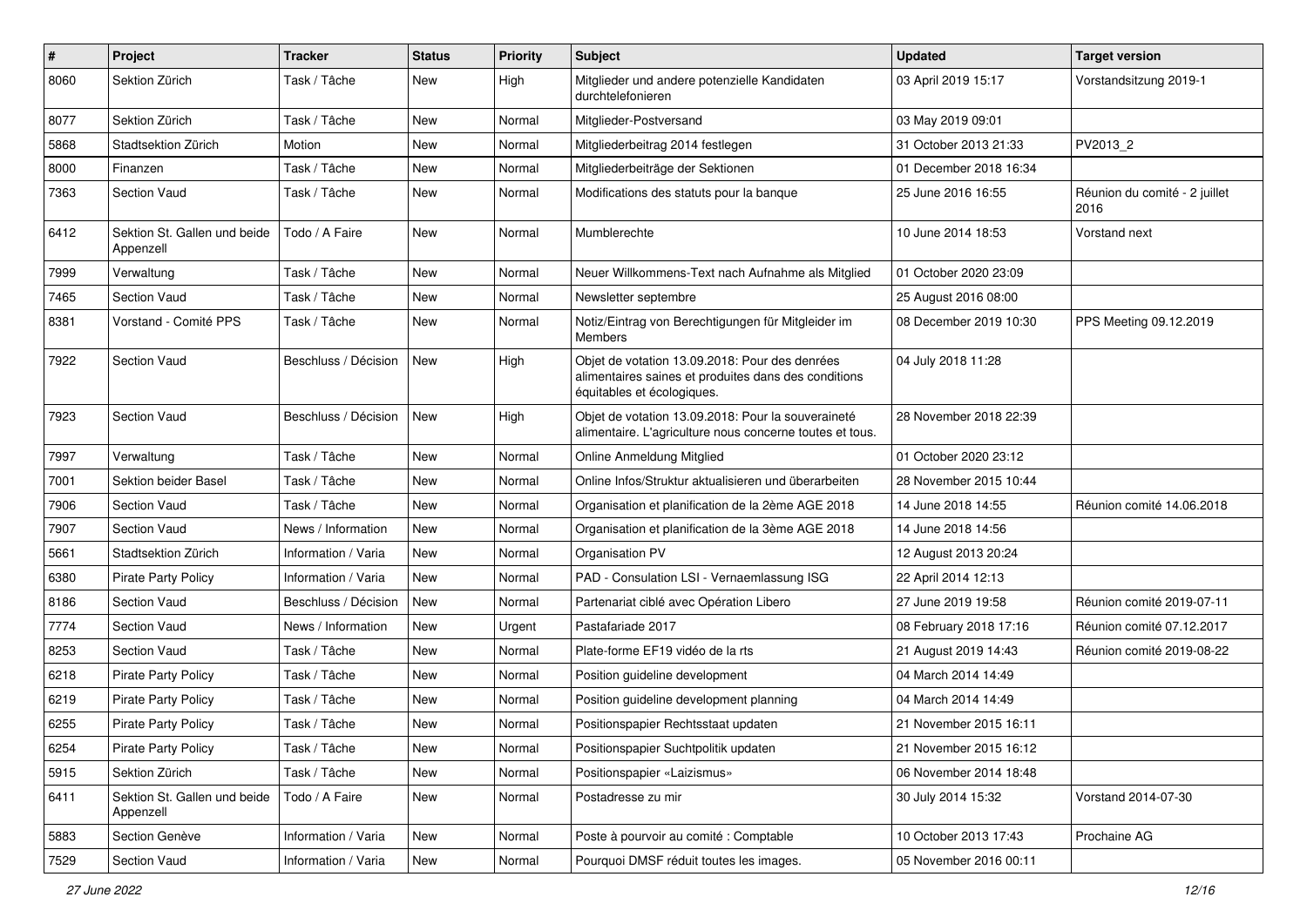| $\pmb{\#}$ | Project                                   | <b>Tracker</b>       | <b>Status</b> | <b>Priority</b> | <b>Subject</b>                                                                                                                       | <b>Updated</b>         | <b>Target version</b>                 |
|------------|-------------------------------------------|----------------------|---------------|-----------------|--------------------------------------------------------------------------------------------------------------------------------------|------------------------|---------------------------------------|
| 8060       | Sektion Zürich                            | Task / Tâche         | New           | High            | Mitglieder und andere potenzielle Kandidaten<br>durchtelefonieren                                                                    | 03 April 2019 15:17    | Vorstandsitzung 2019-1                |
| 8077       | Sektion Zürich                            | Task / Tâche         | New           | Normal          | Mitglieder-Postversand                                                                                                               | 03 May 2019 09:01      |                                       |
| 5868       | Stadtsektion Zürich                       | Motion               | New           | Normal          | Mitgliederbeitrag 2014 festlegen                                                                                                     | 31 October 2013 21:33  | PV2013_2                              |
| 8000       | Finanzen                                  | Task / Tâche         | New           | Normal          | Mitgliederbeiträge der Sektionen                                                                                                     | 01 December 2018 16:34 |                                       |
| 7363       | <b>Section Vaud</b>                       | Task / Tâche         | New           | Normal          | Modifications des statuts pour la banque                                                                                             | 25 June 2016 16:55     | Réunion du comité - 2 juillet<br>2016 |
| 6412       | Sektion St. Gallen und beide<br>Appenzell | Todo / A Faire       | New           | Normal          | Mumblerechte                                                                                                                         | 10 June 2014 18:53     | Vorstand next                         |
| 7999       | Verwaltung                                | Task / Tâche         | New           | Normal          | Neuer Willkommens-Text nach Aufnahme als Mitglied                                                                                    | 01 October 2020 23:09  |                                       |
| 7465       | <b>Section Vaud</b>                       | Task / Tâche         | New           | Normal          | Newsletter septembre                                                                                                                 | 25 August 2016 08:00   |                                       |
| 8381       | Vorstand - Comité PPS                     | Task / Tâche         | New           | Normal          | Notiz/Eintrag von Berechtigungen für Mitgleider im<br><b>Members</b>                                                                 | 08 December 2019 10:30 | PPS Meeting 09.12.2019                |
| 7922       | <b>Section Vaud</b>                       | Beschluss / Décision | New           | High            | Objet de votation 13.09.2018: Pour des denrées<br>alimentaires saines et produites dans des conditions<br>équitables et écologiques. | 04 July 2018 11:28     |                                       |
| 7923       | <b>Section Vaud</b>                       | Beschluss / Décision | New           | High            | Objet de votation 13.09.2018: Pour la souveraineté<br>alimentaire. L'agriculture nous concerne toutes et tous.                       | 28 November 2018 22:39 |                                       |
| 7997       | Verwaltung                                | Task / Tâche         | New           | Normal          | Online Anmeldung Mitglied                                                                                                            | 01 October 2020 23:12  |                                       |
| 7001       | Sektion beider Basel                      | Task / Tâche         | <b>New</b>    | Normal          | Online Infos/Struktur aktualisieren und überarbeiten                                                                                 | 28 November 2015 10:44 |                                       |
| 7906       | <b>Section Vaud</b>                       | Task / Tâche         | <b>New</b>    | Normal          | Organisation et planification de la 2ème AGE 2018                                                                                    | 14 June 2018 14:55     | Réunion comité 14.06.2018             |
| 7907       | <b>Section Vaud</b>                       | News / Information   | New           | Normal          | Organisation et planification de la 3ème AGE 2018                                                                                    | 14 June 2018 14:56     |                                       |
| 5661       | Stadtsektion Zürich                       | Information / Varia  | <b>New</b>    | Normal          | Organisation PV                                                                                                                      | 12 August 2013 20:24   |                                       |
| 6380       | <b>Pirate Party Policy</b>                | Information / Varia  | New           | Normal          | PAD - Consulation LSI - Vernaemlassung ISG                                                                                           | 22 April 2014 12:13    |                                       |
| 8186       | Section Vaud                              | Beschluss / Décision | <b>New</b>    | Normal          | Partenariat ciblé avec Opération Libero                                                                                              | 27 June 2019 19:58     | Réunion comité 2019-07-11             |
| 7774       | <b>Section Vaud</b>                       | News / Information   | <b>New</b>    | Urgent          | Pastafariade 2017                                                                                                                    | 08 February 2018 17:16 | Réunion comité 07.12.2017             |
| 8253       | Section Vaud                              | Task / Tâche         | New           | Normal          | Plate-forme EF19 vidéo de la rts                                                                                                     | 21 August 2019 14:43   | Réunion comité 2019-08-22             |
| 6218       | Pirate Party Policy                       | Task / Tâche         | New           | Normal          | Position guideline development                                                                                                       | 04 March 2014 14:49    |                                       |
| 6219       | <b>Pirate Party Policy</b>                | Task / Tâche         | New           | Normal          | Position guideline development planning                                                                                              | 04 March 2014 14:49    |                                       |
| 6255       | <b>Pirate Party Policy</b>                | Task / Tâche         | New           | Normal          | Positionspapier Rechtsstaat updaten                                                                                                  | 21 November 2015 16:11 |                                       |
| 6254       | <b>Pirate Party Policy</b>                | Task / Tâche         | New           | Normal          | Positionspapier Suchtpolitik updaten                                                                                                 | 21 November 2015 16:12 |                                       |
| 5915       | Sektion Zürich                            | Task / Tâche         | New           | Normal          | Positionspapier «Laizismus»                                                                                                          | 06 November 2014 18:48 |                                       |
| 6411       | Sektion St. Gallen und beide<br>Appenzell | Todo / A Faire       | New           | Normal          | Postadresse zu mir                                                                                                                   | 30 July 2014 15:32     | Vorstand 2014-07-30                   |
| 5883       | Section Genève                            | Information / Varia  | New           | Normal          | Poste à pourvoir au comité : Comptable                                                                                               | 10 October 2013 17:43  | Prochaine AG                          |
| 7529       | Section Vaud                              | Information / Varia  | New           | Normal          | Pourquoi DMSF réduit toutes les images.                                                                                              | 05 November 2016 00:11 |                                       |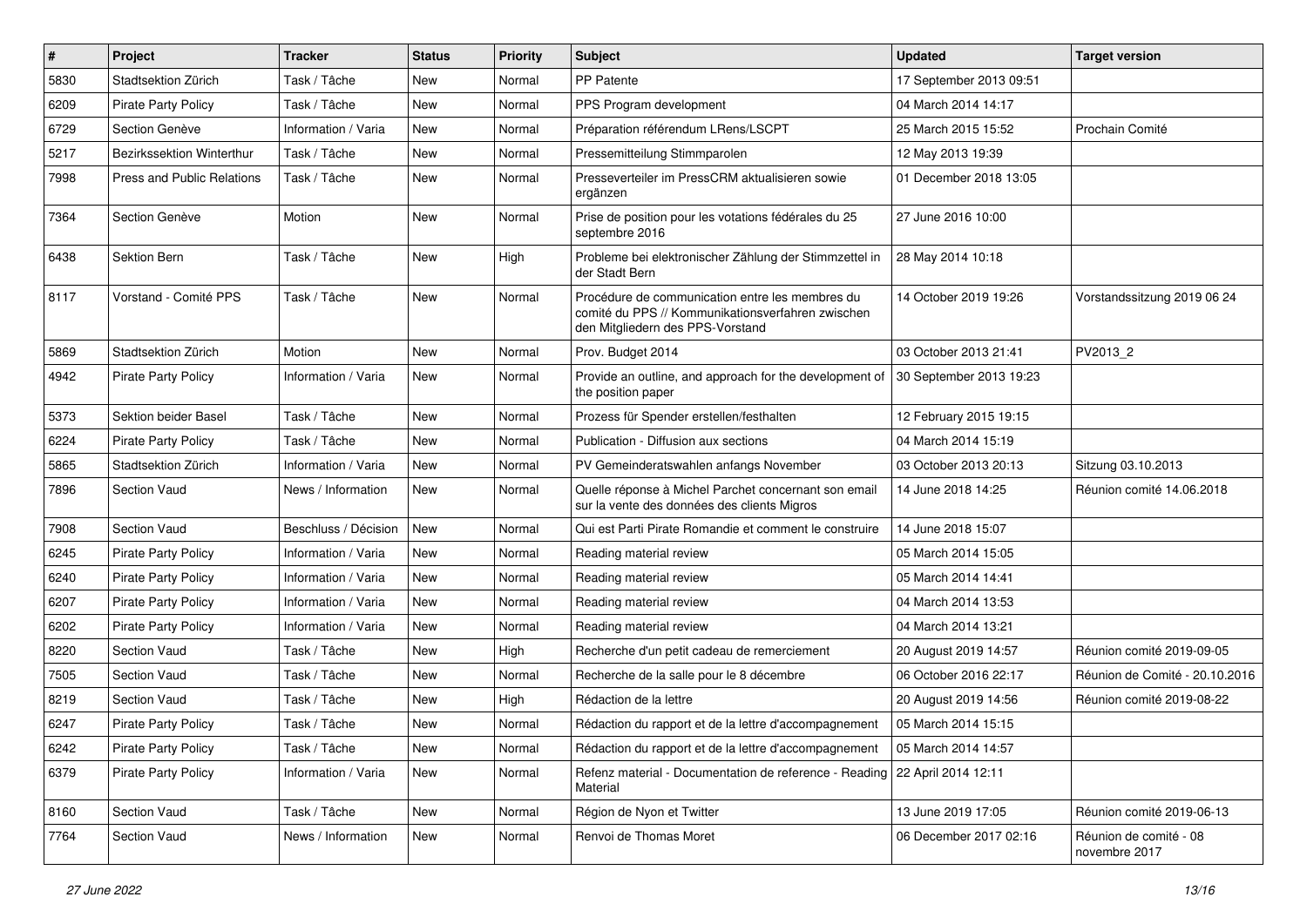| $\vert$ # | Project                    | <b>Tracker</b>       | <b>Status</b> | <b>Priority</b> | Subject                                                                                                                                  | <b>Updated</b>          | <b>Target version</b>                   |
|-----------|----------------------------|----------------------|---------------|-----------------|------------------------------------------------------------------------------------------------------------------------------------------|-------------------------|-----------------------------------------|
| 5830      | Stadtsektion Zürich        | Task / Tâche         | <b>New</b>    | Normal          | PP Patente                                                                                                                               | 17 September 2013 09:51 |                                         |
| 6209      | <b>Pirate Party Policy</b> | Task / Tâche         | <b>New</b>    | Normal          | PPS Program development                                                                                                                  | 04 March 2014 14:17     |                                         |
| 6729      | Section Genève             | Information / Varia  | New           | Normal          | Préparation référendum LRens/LSCPT                                                                                                       | 25 March 2015 15:52     | Prochain Comité                         |
| 5217      | Bezirkssektion Winterthur  | Task / Tâche         | <b>New</b>    | Normal          | Pressemitteilung Stimmparolen                                                                                                            | 12 May 2013 19:39       |                                         |
| 7998      | Press and Public Relations | Task / Tâche         | <b>New</b>    | Normal          | Presseverteiler im PressCRM aktualisieren sowie<br>ergänzen                                                                              | 01 December 2018 13:05  |                                         |
| 7364      | Section Genève             | Motion               | <b>New</b>    | Normal          | Prise de position pour les votations fédérales du 25<br>septembre 2016                                                                   | 27 June 2016 10:00      |                                         |
| 6438      | <b>Sektion Bern</b>        | Task / Tâche         | New           | High            | Probleme bei elektronischer Zählung der Stimmzettel in<br>der Stadt Bern                                                                 | 28 May 2014 10:18       |                                         |
| 8117      | Vorstand - Comité PPS      | Task / Tâche         | New           | Normal          | Procédure de communication entre les membres du<br>comité du PPS // Kommunikationsverfahren zwischen<br>den Mitgliedern des PPS-Vorstand | 14 October 2019 19:26   | Vorstandssitzung 2019 06 24             |
| 5869      | Stadtsektion Zürich        | Motion               | New           | Normal          | Prov. Budget 2014                                                                                                                        | 03 October 2013 21:41   | PV2013_2                                |
| 4942      | <b>Pirate Party Policy</b> | Information / Varia  | <b>New</b>    | Normal          | Provide an outline, and approach for the development of<br>the position paper                                                            | 30 September 2013 19:23 |                                         |
| 5373      | Sektion beider Basel       | Task / Tâche         | <b>New</b>    | Normal          | Prozess für Spender erstellen/festhalten                                                                                                 | 12 February 2015 19:15  |                                         |
| 6224      | <b>Pirate Party Policy</b> | Task / Tâche         | <b>New</b>    | Normal          | Publication - Diffusion aux sections                                                                                                     | 04 March 2014 15:19     |                                         |
| 5865      | Stadtsektion Zürich        | Information / Varia  | New           | Normal          | PV Gemeinderatswahlen anfangs November                                                                                                   | 03 October 2013 20:13   | Sitzung 03.10.2013                      |
| 7896      | Section Vaud               | News / Information   | New           | Normal          | Quelle réponse à Michel Parchet concernant son email<br>sur la vente des données des clients Migros                                      | 14 June 2018 14:25      | Réunion comité 14.06.2018               |
| 7908      | Section Vaud               | Beschluss / Décision | New           | Normal          | Qui est Parti Pirate Romandie et comment le construire                                                                                   | 14 June 2018 15:07      |                                         |
| 6245      | <b>Pirate Party Policy</b> | Information / Varia  | <b>New</b>    | Normal          | Reading material review                                                                                                                  | 05 March 2014 15:05     |                                         |
| 6240      | Pirate Party Policy        | Information / Varia  | <b>New</b>    | Normal          | Reading material review                                                                                                                  | 05 March 2014 14:41     |                                         |
| 6207      | <b>Pirate Party Policy</b> | Information / Varia  | New           | Normal          | Reading material review                                                                                                                  | 04 March 2014 13:53     |                                         |
| 6202      | <b>Pirate Party Policy</b> | Information / Varia  | <b>New</b>    | Normal          | Reading material review                                                                                                                  | 04 March 2014 13:21     |                                         |
| 8220      | Section Vaud               | Task / Tâche         | New           | High            | Recherche d'un petit cadeau de remerciement                                                                                              | 20 August 2019 14:57    | Réunion comité 2019-09-05               |
| 7505      | Section Vaud               | Task / Tâche         | <b>New</b>    | Normal          | Recherche de la salle pour le 8 décembre                                                                                                 | 06 October 2016 22:17   | Réunion de Comité - 20.10.2016          |
| 8219      | Section Vaud               | Task / Tâche         | <b>New</b>    | High            | Rédaction de la lettre                                                                                                                   | 20 August 2019 14:56    | Réunion comité 2019-08-22               |
| 6247      | Pirate Party Policy        | Task / Tâche         | <b>New</b>    | Normal          | Rédaction du rapport et de la lettre d'accompagnement                                                                                    | 05 March 2014 15:15     |                                         |
| 6242      | Pirate Party Policy        | Task / Tâche         | New           | Normal          | Rédaction du rapport et de la lettre d'accompagnement                                                                                    | 05 March 2014 14:57     |                                         |
| 6379      | Pirate Party Policy        | Information / Varia  | New           | Normal          | Refenz material - Documentation de reference - Reading   22 April 2014 12:11<br>Material                                                 |                         |                                         |
| 8160      | Section Vaud               | Task / Tâche         | New           | Normal          | Région de Nyon et Twitter                                                                                                                | 13 June 2019 17:05      | Réunion comité 2019-06-13               |
| 7764      | Section Vaud               | News / Information   | New           | Normal          | Renvoi de Thomas Moret                                                                                                                   | 06 December 2017 02:16  | Réunion de comité - 08<br>novembre 2017 |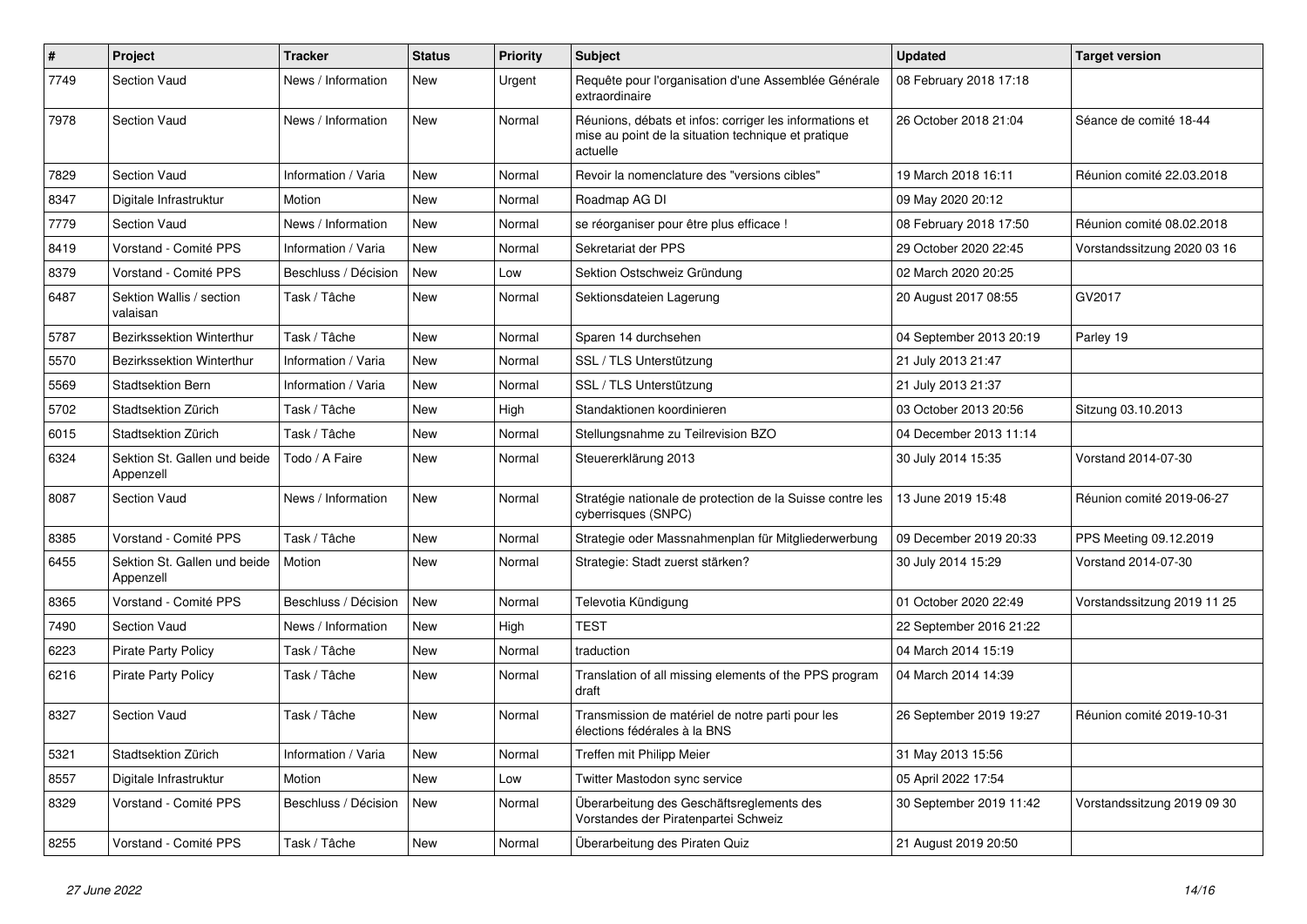| $\#$ | Project                                   | <b>Tracker</b>       | <b>Status</b> | <b>Priority</b> | <b>Subject</b>                                                                                                             | <b>Updated</b>          | <b>Target version</b>       |
|------|-------------------------------------------|----------------------|---------------|-----------------|----------------------------------------------------------------------------------------------------------------------------|-------------------------|-----------------------------|
| 7749 | Section Vaud                              | News / Information   | New           | Urgent          | Requête pour l'organisation d'une Assemblée Générale<br>extraordinaire                                                     | 08 February 2018 17:18  |                             |
| 7978 | Section Vaud                              | News / Information   | New           | Normal          | Réunions, débats et infos: corriger les informations et<br>mise au point de la situation technique et pratique<br>actuelle | 26 October 2018 21:04   | Séance de comité 18-44      |
| 7829 | <b>Section Vaud</b>                       | Information / Varia  | New           | Normal          | Revoir la nomenclature des "versions cibles"                                                                               | 19 March 2018 16:11     | Réunion comité 22.03.2018   |
| 8347 | Digitale Infrastruktur                    | Motion               | New           | Normal          | Roadmap AG DI                                                                                                              | 09 May 2020 20:12       |                             |
| 7779 | <b>Section Vaud</b>                       | News / Information   | <b>New</b>    | Normal          | se réorganiser pour être plus efficace !                                                                                   | 08 February 2018 17:50  | Réunion comité 08.02.2018   |
| 8419 | Vorstand - Comité PPS                     | Information / Varia  | New           | Normal          | Sekretariat der PPS                                                                                                        | 29 October 2020 22:45   | Vorstandssitzung 2020 03 16 |
| 8379 | Vorstand - Comité PPS                     | Beschluss / Décision | New           | Low             | Sektion Ostschweiz Gründung                                                                                                | 02 March 2020 20:25     |                             |
| 6487 | Sektion Wallis / section<br>valaisan      | Task / Tâche         | <b>New</b>    | Normal          | Sektionsdateien Lagerung                                                                                                   | 20 August 2017 08:55    | GV2017                      |
| 5787 | <b>Bezirkssektion Winterthur</b>          | Task / Tâche         | New           | Normal          | Sparen 14 durchsehen                                                                                                       | 04 September 2013 20:19 | Parley 19                   |
| 5570 | Bezirkssektion Winterthur                 | Information / Varia  | New           | Normal          | SSL / TLS Unterstützung                                                                                                    | 21 July 2013 21:47      |                             |
| 5569 | <b>Stadtsektion Bern</b>                  | Information / Varia  | New           | Normal          | SSL / TLS Unterstützung                                                                                                    | 21 July 2013 21:37      |                             |
| 5702 | Stadtsektion Zürich                       | Task / Tâche         | New           | High            | Standaktionen koordinieren                                                                                                 | 03 October 2013 20:56   | Sitzung 03.10.2013          |
| 6015 | Stadtsektion Zürich                       | Task / Tâche         | New           | Normal          | Stellungsnahme zu Teilrevision BZO                                                                                         | 04 December 2013 11:14  |                             |
| 6324 | Sektion St. Gallen und beide<br>Appenzell | Todo / A Faire       | New           | Normal          | Steuererklärung 2013                                                                                                       | 30 July 2014 15:35      | Vorstand 2014-07-30         |
| 8087 | Section Vaud                              | News / Information   | New           | Normal          | Stratégie nationale de protection de la Suisse contre les<br>cyberrisques (SNPC)                                           | 13 June 2019 15:48      | Réunion comité 2019-06-27   |
| 8385 | Vorstand - Comité PPS                     | Task / Tâche         | New           | Normal          | Strategie oder Massnahmenplan für Mitgliederwerbung                                                                        | 09 December 2019 20:33  | PPS Meeting 09.12.2019      |
| 6455 | Sektion St. Gallen und beide<br>Appenzell | Motion               | <b>New</b>    | Normal          | Strategie: Stadt zuerst stärken?                                                                                           | 30 July 2014 15:29      | Vorstand 2014-07-30         |
| 8365 | Vorstand - Comité PPS                     | Beschluss / Décision | <b>New</b>    | Normal          | Televotia Kündigung                                                                                                        | 01 October 2020 22:49   | Vorstandssitzung 2019 11 25 |
| 7490 | Section Vaud                              | News / Information   | New           | High            | <b>TEST</b>                                                                                                                | 22 September 2016 21:22 |                             |
| 6223 | <b>Pirate Party Policy</b>                | Task / Tâche         | New           | Normal          | traduction                                                                                                                 | 04 March 2014 15:19     |                             |
| 6216 | <b>Pirate Party Policy</b>                | Task / Tâche         | New           | Normal          | Translation of all missing elements of the PPS program<br>draft                                                            | 04 March 2014 14:39     |                             |
| 8327 | <b>Section Vaud</b>                       | Task / Tâche         | <b>New</b>    | Normal          | Transmission de matériel de notre parti pour les<br>élections fédérales à la BNS                                           | 26 September 2019 19:27 | Réunion comité 2019-10-31   |
| 5321 | Stadtsektion Zürich                       | Information / Varia  | New           | Normal          | Treffen mit Philipp Meier                                                                                                  | 31 May 2013 15:56       |                             |
| 8557 | Digitale Infrastruktur                    | Motion               | <b>New</b>    | Low             | Twitter Mastodon sync service                                                                                              | 05 April 2022 17:54     |                             |
| 8329 | Vorstand - Comité PPS                     | Beschluss / Décision | New           | Normal          | Überarbeitung des Geschäftsreglements des<br>Vorstandes der Piratenpartei Schweiz                                          | 30 September 2019 11:42 | Vorstandssitzung 2019 09 30 |
| 8255 | Vorstand - Comité PPS                     | Task / Tâche         | New           | Normal          | Überarbeitung des Piraten Quiz                                                                                             | 21 August 2019 20:50    |                             |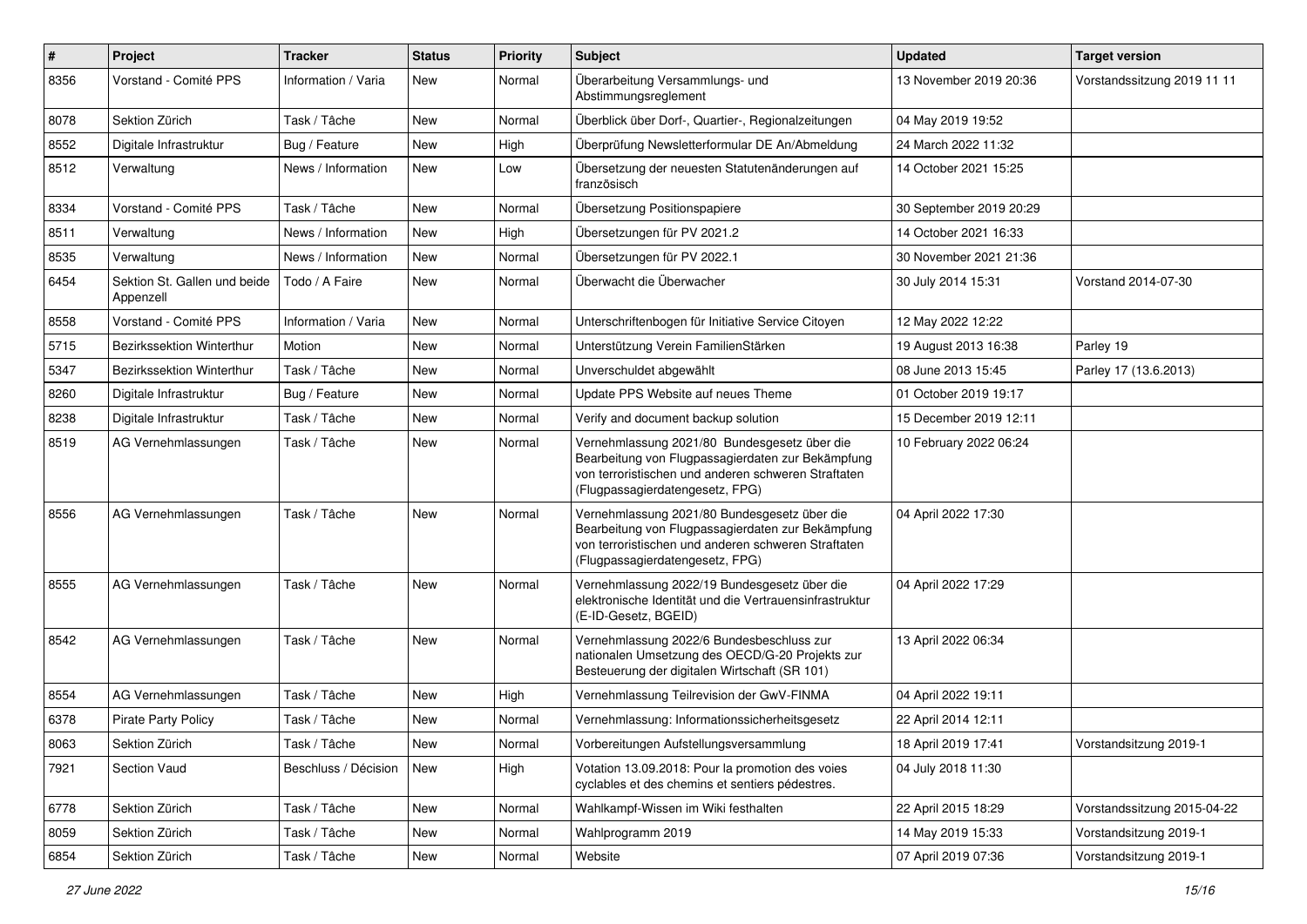| #    | Project                                   | <b>Tracker</b>       | <b>Status</b> | <b>Priority</b> | <b>Subject</b>                                                                                                                                                                              | <b>Updated</b>          | <b>Target version</b>       |
|------|-------------------------------------------|----------------------|---------------|-----------------|---------------------------------------------------------------------------------------------------------------------------------------------------------------------------------------------|-------------------------|-----------------------------|
| 8356 | Vorstand - Comité PPS                     | Information / Varia  | New           | Normal          | Überarbeitung Versammlungs- und<br>Abstimmungsreglement                                                                                                                                     | 13 November 2019 20:36  | Vorstandssitzung 2019 11 11 |
| 8078 | Sektion Zürich                            | Task / Tâche         | <b>New</b>    | Normal          | Überblick über Dorf-, Quartier-, Regionalzeitungen                                                                                                                                          | 04 May 2019 19:52       |                             |
| 8552 | Digitale Infrastruktur                    | Bug / Feature        | New           | High            | Überprüfung Newsletterformular DE An/Abmeldung                                                                                                                                              | 24 March 2022 11:32     |                             |
| 8512 | Verwaltung                                | News / Information   | <b>New</b>    | Low             | Übersetzung der neuesten Statutenänderungen auf<br>französisch                                                                                                                              | 14 October 2021 15:25   |                             |
| 8334 | Vorstand - Comité PPS                     | Task / Tâche         | <b>New</b>    | Normal          | Übersetzung Positionspapiere                                                                                                                                                                | 30 September 2019 20:29 |                             |
| 8511 | Verwaltung                                | News / Information   | New           | High            | Übersetzungen für PV 2021.2                                                                                                                                                                 | 14 October 2021 16:33   |                             |
| 8535 | Verwaltung                                | News / Information   | <b>New</b>    | Normal          | Übersetzungen für PV 2022.1                                                                                                                                                                 | 30 November 2021 21:36  |                             |
| 6454 | Sektion St. Gallen und beide<br>Appenzell | Todo / A Faire       | New           | Normal          | Überwacht die Überwacher                                                                                                                                                                    | 30 July 2014 15:31      | Vorstand 2014-07-30         |
| 8558 | Vorstand - Comité PPS                     | Information / Varia  | <b>New</b>    | Normal          | Unterschriftenbogen für Initiative Service Citoyen                                                                                                                                          | 12 May 2022 12:22       |                             |
| 5715 | Bezirkssektion Winterthur                 | Motion               | <b>New</b>    | Normal          | Unterstützung Verein FamilienStärken                                                                                                                                                        | 19 August 2013 16:38    | Parley 19                   |
| 5347 | Bezirkssektion Winterthur                 | Task / Tâche         | <b>New</b>    | Normal          | Unverschuldet abgewählt                                                                                                                                                                     | 08 June 2013 15:45      | Parley 17 (13.6.2013)       |
| 8260 | Digitale Infrastruktur                    | Bug / Feature        | <b>New</b>    | Normal          | Update PPS Website auf neues Theme                                                                                                                                                          | 01 October 2019 19:17   |                             |
| 8238 | Digitale Infrastruktur                    | Task / Tâche         | New           | Normal          | Verify and document backup solution                                                                                                                                                         | 15 December 2019 12:11  |                             |
| 8519 | AG Vernehmlassungen                       | Task / Tâche         | New           | Normal          | Vernehmlassung 2021/80 Bundesgesetz über die<br>Bearbeitung von Flugpassagierdaten zur Bekämpfung<br>von terroristischen und anderen schweren Straftaten<br>(Flugpassagierdatengesetz, FPG) | 10 February 2022 06:24  |                             |
| 8556 | AG Vernehmlassungen                       | Task / Tâche         | <b>New</b>    | Normal          | Vernehmlassung 2021/80 Bundesgesetz über die<br>Bearbeitung von Flugpassagierdaten zur Bekämpfung<br>von terroristischen und anderen schweren Straftaten<br>(Flugpassagierdatengesetz, FPG) | 04 April 2022 17:30     |                             |
| 8555 | AG Vernehmlassungen                       | Task / Tâche         | <b>New</b>    | Normal          | Vernehmlassung 2022/19 Bundesgesetz über die<br>elektronische Identität und die Vertrauensinfrastruktur<br>(E-ID-Gesetz, BGEID)                                                             | 04 April 2022 17:29     |                             |
| 8542 | AG Vernehmlassungen                       | Task / Tâche         | <b>New</b>    | Normal          | Vernehmlassung 2022/6 Bundesbeschluss zur<br>nationalen Umsetzung des OECD/G-20 Projekts zur<br>Besteuerung der digitalen Wirtschaft (SR 101)                                               | 13 April 2022 06:34     |                             |
| 8554 | AG Vernehmlassungen                       | Task / Tâche         | <b>New</b>    | High            | Vernehmlassung Teilrevision der GwV-FINMA                                                                                                                                                   | 04 April 2022 19:11     |                             |
| 6378 | <b>Pirate Party Policy</b>                | Task / Tâche         | New           | Normal          | Vernehmlassung: Informationssicherheitsgesetz                                                                                                                                               | 22 April 2014 12:11     |                             |
| 8063 | Sektion Zürich                            | Task / Tâche         | New           | Normal          | Vorbereitungen Aufstellungsversammlung                                                                                                                                                      | 18 April 2019 17:41     | Vorstandsitzung 2019-1      |
| 7921 | Section Vaud                              | Beschluss / Décision | New           | High            | Votation 13.09.2018: Pour la promotion des voies<br>cyclables et des chemins et sentiers pédestres.                                                                                         | 04 July 2018 11:30      |                             |
| 6778 | Sektion Zürich                            | Task / Tâche         | New           | Normal          | Wahlkampf-Wissen im Wiki festhalten                                                                                                                                                         | 22 April 2015 18:29     | Vorstandssitzung 2015-04-22 |
| 8059 | Sektion Zürich                            | Task / Tâche         | New           | Normal          | Wahlprogramm 2019                                                                                                                                                                           | 14 May 2019 15:33       | Vorstandsitzung 2019-1      |
| 6854 | Sektion Zürich                            | Task / Tâche         | New           | Normal          | Website                                                                                                                                                                                     | 07 April 2019 07:36     | Vorstandsitzung 2019-1      |